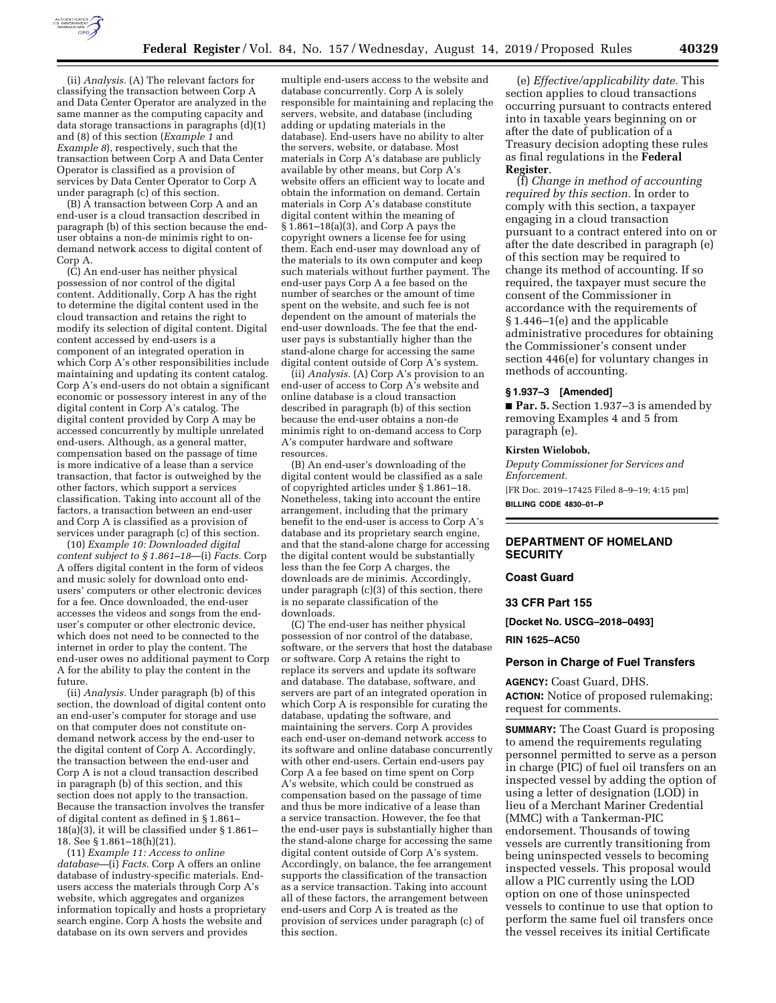

(ii) *Analysis.* (A) The relevant factors for classifying the transaction between Corp A and Data Center Operator are analyzed in the same manner as the computing capacity and data storage transactions in paragraphs (d)(1) and (8) of this section (*Example 1* and *Example 8*), respectively, such that the transaction between Corp A and Data Center Operator is classified as a provision of services by Data Center Operator to Corp A under paragraph (c) of this section.

(B) A transaction between Corp A and an end-user is a cloud transaction described in paragraph (b) of this section because the enduser obtains a non-de minimis right to ondemand network access to digital content of Corp A.

(C) An end-user has neither physical possession of nor control of the digital content. Additionally, Corp A has the right to determine the digital content used in the cloud transaction and retains the right to modify its selection of digital content. Digital content accessed by end-users is a component of an integrated operation in which Corp A's other responsibilities include maintaining and updating its content catalog. Corp A's end-users do not obtain a significant economic or possessory interest in any of the digital content in Corp A's catalog. The digital content provided by Corp A may be accessed concurrently by multiple unrelated end-users. Although, as a general matter, compensation based on the passage of time is more indicative of a lease than a service transaction, that factor is outweighed by the other factors, which support a services classification. Taking into account all of the factors, a transaction between an end-user and Corp A is classified as a provision of services under paragraph (c) of this section.

(10) *Example 10: Downloaded digital content subject to § 1.861–18*—(i) *Facts.* Corp A offers digital content in the form of videos and music solely for download onto endusers' computers or other electronic devices for a fee. Once downloaded, the end-user accesses the videos and songs from the enduser's computer or other electronic device, which does not need to be connected to the internet in order to play the content. The end-user owes no additional payment to Corp A for the ability to play the content in the future.

(ii) *Analysis.* Under paragraph (b) of this section, the download of digital content onto an end-user's computer for storage and use on that computer does not constitute ondemand network access by the end-user to the digital content of Corp A. Accordingly, the transaction between the end-user and Corp A is not a cloud transaction described in paragraph (b) of this section, and this section does not apply to the transaction. Because the transaction involves the transfer of digital content as defined in § 1.861–  $18(a)(3)$ , it will be classified under § 1.861– 18. See § 1.861–18(h)(21).

(11) *Example 11: Access to online database*—(i) *Facts.* Corp A offers an online database of industry-specific materials. Endusers access the materials through Corp A's website, which aggregates and organizes information topically and hosts a proprietary search engine. Corp A hosts the website and database on its own servers and provides

multiple end-users access to the website and database concurrently. Corp A is solely responsible for maintaining and replacing the servers, website, and database (including adding or updating materials in the database). End-users have no ability to alter the servers, website, or database. Most materials in Corp A's database are publicly available by other means, but Corp A's website offers an efficient way to locate and obtain the information on demand. Certain materials in Corp A's database constitute digital content within the meaning of § 1.861–18(a)(3), and Corp A pays the copyright owners a license fee for using them. Each end-user may download any of the materials to its own computer and keep such materials without further payment. The end-user pays Corp A a fee based on the number of searches or the amount of time spent on the website, and such fee is not dependent on the amount of materials the end-user downloads. The fee that the enduser pays is substantially higher than the stand-alone charge for accessing the same digital content outside of Corp A's system.

(ii) *Analysis.* (A) Corp A's provision to an end-user of access to Corp A's website and online database is a cloud transaction described in paragraph (b) of this section because the end-user obtains a non-de minimis right to on-demand access to Corp A's computer hardware and software resources.

(B) An end-user's downloading of the digital content would be classified as a sale of copyrighted articles under § 1.861–18. Nonetheless, taking into account the entire arrangement, including that the primary benefit to the end-user is access to Corp A's database and its proprietary search engine, and that the stand-alone charge for accessing the digital content would be substantially less than the fee Corp A charges, the downloads are de minimis. Accordingly, under paragraph (c)(3) of this section, there is no separate classification of the downloads.

(C) The end-user has neither physical possession of nor control of the database, software, or the servers that host the database or software. Corp A retains the right to replace its servers and update its software and database. The database, software, and servers are part of an integrated operation in which Corp A is responsible for curating the database, updating the software, and maintaining the servers. Corp A provides each end-user on-demand network access to its software and online database concurrently with other end-users. Certain end-users pay Corp A a fee based on time spent on Corp A's website, which could be construed as compensation based on the passage of time and thus be more indicative of a lease than a service transaction. However, the fee that the end-user pays is substantially higher than the stand-alone charge for accessing the same digital content outside of Corp A's system. Accordingly, on balance, the fee arrangement supports the classification of the transaction as a service transaction. Taking into account all of these factors, the arrangement between end-users and Corp A is treated as the provision of services under paragraph (c) of this section.

(e) *Effective/applicability date.* This section applies to cloud transactions occurring pursuant to contracts entered into in taxable years beginning on or after the date of publication of a Treasury decision adopting these rules as final regulations in the **Federal Register**.

(f) *Change in method of accounting required by this section.* In order to comply with this section, a taxpayer engaging in a cloud transaction pursuant to a contract entered into on or after the date described in paragraph (e) of this section may be required to change its method of accounting. If so required, the taxpayer must secure the consent of the Commissioner in accordance with the requirements of § 1.446–1(e) and the applicable administrative procedures for obtaining the Commissioner's consent under section 446(e) for voluntary changes in methods of accounting.

## **§ 1.937–3 [Amended]**

■ **Par. 5.** Section 1.937–3 is amended by removing Examples 4 and 5 from paragraph (e).

### **Kirsten Wielobob,**

*Deputy Commissioner for Services and Enforcement.*  [FR Doc. 2019–17425 Filed 8–9–19; 4:15 pm] **BILLING CODE 4830–01–P** 

## **DEPARTMENT OF HOMELAND SECURITY**

## **Coast Guard**

## **33 CFR Part 155**

**[Docket No. USCG–2018–0493]** 

### **RIN 1625–AC50**

## **Person in Charge of Fuel Transfers**

**AGENCY:** Coast Guard, DHS.

**ACTION:** Notice of proposed rulemaking; request for comments.

**SUMMARY:** The Coast Guard is proposing to amend the requirements regulating personnel permitted to serve as a person in charge (PIC) of fuel oil transfers on an inspected vessel by adding the option of using a letter of designation (LOD) in lieu of a Merchant Mariner Credential (MMC) with a Tankerman-PIC endorsement. Thousands of towing vessels are currently transitioning from being uninspected vessels to becoming inspected vessels. This proposal would allow a PIC currently using the LOD option on one of those uninspected vessels to continue to use that option to perform the same fuel oil transfers once the vessel receives its initial Certificate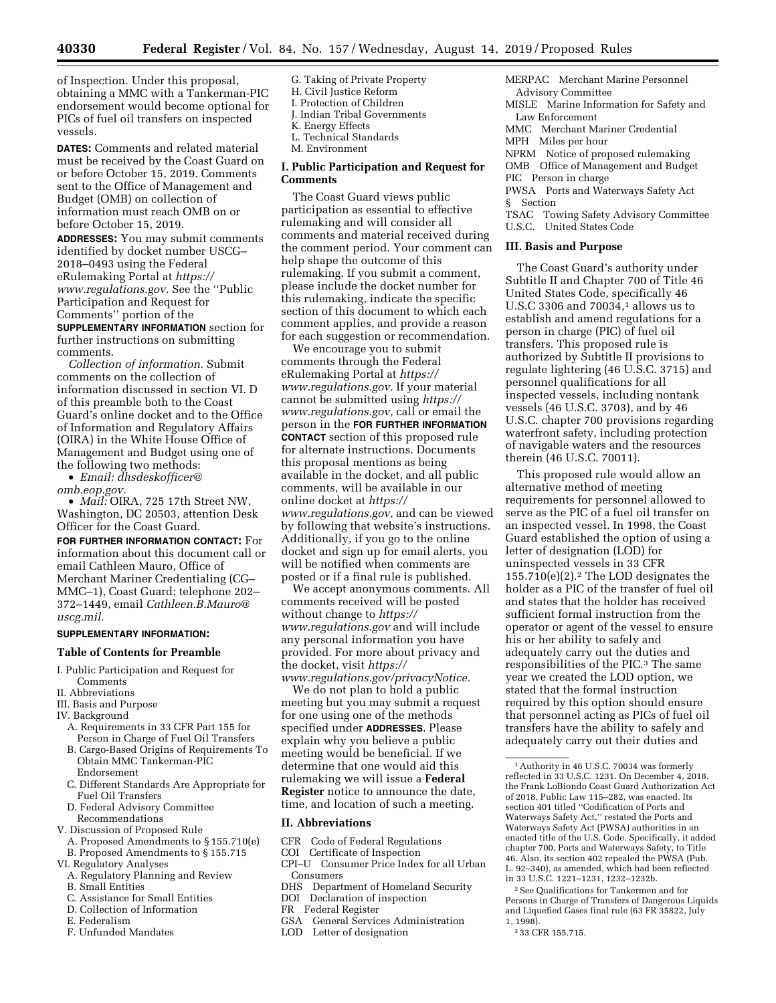of Inspection. Under this proposal, obtaining a MMC with a Tankerman-PIC endorsement would become optional for PICs of fuel oil transfers on inspected vessels.

**DATES:** Comments and related material must be received by the Coast Guard on or before October 15, 2019. Comments sent to the Office of Management and Budget (OMB) on collection of information must reach OMB on or before October 15, 2019.

**ADDRESSES:** You may submit comments identified by docket number USCG– 2018–0493 using the Federal eRulemaking Portal at *[https://](https://www.regulations.gov) [www.regulations.gov.](https://www.regulations.gov)* See the ''Public Participation and Request for Comments'' portion of the

**SUPPLEMENTARY INFORMATION** section for further instructions on submitting comments.

*Collection of information.* Submit comments on the collection of information discussed in section VI. D of this preamble both to the Coast Guard's online docket and to the Office of Information and Regulatory Affairs (OIRA) in the White House Office of Management and Budget using one of the following two methods:

• *Email: [dhsdeskofficer@](mailto:dhsdeskofficer@omb.eop.gov)*

*[omb.eop.gov.](mailto:dhsdeskofficer@omb.eop.gov)* 

• *Mail:* OIRA, 725 17th Street NW, Washington, DC 20503, attention Desk Officer for the Coast Guard.

**FOR FURTHER INFORMATION CONTACT:** For information about this document call or email Cathleen Mauro, Office of Merchant Mariner Credentialing (CG– MMC–1), Coast Guard; telephone 202– 372–1449, email *[Cathleen.B.Mauro@](mailto:Cathleen.B.Mauro@uscg.mil) [uscg.mil.](mailto:Cathleen.B.Mauro@uscg.mil)* 

#### **SUPPLEMENTARY INFORMATION:**

### **Table of Contents for Preamble**

- I. Public Participation and Request for Comments
- II. Abbreviations
- III. Basis and Purpose
- IV. Background
	- A. Requirements in 33 CFR Part 155 for Person in Charge of Fuel Oil Transfers
	- B. Cargo-Based Origins of Requirements To Obtain MMC Tankerman-PIC Endorsement
	- C. Different Standards Are Appropriate for Fuel Oil Transfers
	- D. Federal Advisory Committee Recommendations
- V. Discussion of Proposed Rule
	- A. Proposed Amendments to § 155.710(e)
	- B. Proposed Amendments to § 155.715
- VI. Regulatory Analyses
- A. Regulatory Planning and Review
- B. Small Entities
- C. Assistance for Small Entities
- D. Collection of Information
- E. Federalism
- F. Unfunded Mandates
- G. Taking of Private Property H. Civil Justice Reform I. Protection of Children J. Indian Tribal Governments K. Energy Effects L. Technical Standards
- M. Environment
- **I. Public Participation and Request for Comments**

The Coast Guard views public participation as essential to effective rulemaking and will consider all comments and material received during the comment period. Your comment can help shape the outcome of this rulemaking. If you submit a comment, please include the docket number for this rulemaking, indicate the specific section of this document to which each comment applies, and provide a reason for each suggestion or recommendation.

We encourage you to submit comments through the Federal eRulemaking Portal at *[https://](https://www.regulations.gov) [www.regulations.gov.](https://www.regulations.gov)* If your material cannot be submitted using *[https://](https://www.regulations.gov) [www.regulations.gov,](https://www.regulations.gov)* call or email the person in the **FOR FURTHER INFORMATION CONTACT** section of this proposed rule for alternate instructions. Documents this proposal mentions as being available in the docket, and all public comments, will be available in our online docket at *[https://](https://www.regulations.gov) [www.regulations.gov,](https://www.regulations.gov)* and can be viewed by following that website's instructions. Additionally, if you go to the online docket and sign up for email alerts, you will be notified when comments are posted or if a final rule is published.

We accept anonymous comments. All comments received will be posted without change to *[https://](https://www.regulations.gov) [www.regulations.gov](https://www.regulations.gov)* and will include any personal information you have provided. For more about privacy and the docket, visit *[https://](https://www.regulations.gov/privacyNotice) [www.regulations.gov/privacyNotice.](https://www.regulations.gov/privacyNotice)* 

We do not plan to hold a public

meeting but you may submit a request for one using one of the methods specified under **ADDRESSES**. Please explain why you believe a public meeting would be beneficial. If we determine that one would aid this rulemaking we will issue a **Federal Register** notice to announce the date, time, and location of such a meeting.

## **II. Abbreviations**

- CFR Code of Federal Regulations
- COI Certificate of Inspection
- CPI–U Consumer Price Index for all Urban Consumers
- DHS Department of Homeland Security
- DOI Declaration of inspection
- FR Federal Register
- GSA General Services Administration
- LOD Letter of designation
- MERPAC Merchant Marine Personnel Advisory Committee
- MISLE Marine Information for Safety and Law Enforcement
- MMC Merchant Mariner Credential
- MPH Miles per hour
- NPRM Notice of proposed rulemaking
- OMB Office of Management and Budget

PIC Person in charge

- PWSA Ports and Waterways Safety Act
- § Section
- TSAC Towing Safety Advisory Committee U.S.C. United States Code

#### **III. Basis and Purpose**

The Coast Guard's authority under Subtitle II and Chapter 700 of Title 46 United States Code, specifically 46 U.S.C 3306 and 70034,1 allows us to establish and amend regulations for a person in charge (PIC) of fuel oil transfers. This proposed rule is authorized by Subtitle II provisions to regulate lightering (46 U.S.C. 3715) and personnel qualifications for all inspected vessels, including nontank vessels (46 U.S.C. 3703), and by 46 U.S.C. chapter 700 provisions regarding waterfront safety, including protection of navigable waters and the resources therein (46 U.S.C. 70011).

This proposed rule would allow an alternative method of meeting requirements for personnel allowed to serve as the PIC of a fuel oil transfer on an inspected vessel. In 1998, the Coast Guard established the option of using a letter of designation (LOD) for uninspected vessels in 33 CFR 155.710(e)(2).2 The LOD designates the holder as a PIC of the transfer of fuel oil and states that the holder has received sufficient formal instruction from the operator or agent of the vessel to ensure his or her ability to safely and adequately carry out the duties and responsibilities of the PIC.3 The same year we created the LOD option, we stated that the formal instruction required by this option should ensure that personnel acting as PICs of fuel oil transfers have the ability to safely and adequately carry out their duties and

3 33 CFR 155.715.

<sup>1</sup>Authority in 46 U.S.C. 70034 was formerly reflected in 33 U.S.C. 1231. On December 4, 2018, the Frank LoBiondo Coast Guard Authorization Act of 2018, Public Law 115–282, was enacted. Its section 401 titled ''Codification of Ports and Waterways Safety Act,'' restated the Ports and Waterways Safety Act (PWSA) authorities in an enacted title of the U.S. Code. Specifically, it added chapter 700, Ports and Waterways Safety, to Title 46. Also, its section 402 repealed the PWSA (Pub. L. 92–340), as amended, which had been reflected in 33 U.S.C. 1221–1231, 1232–1232b.

<sup>2</sup>See Qualifications for Tankermen and for Persons in Charge of Transfers of Dangerous Liquids and Liquefied Gases final rule (63 FR 35822, July 1, 1998).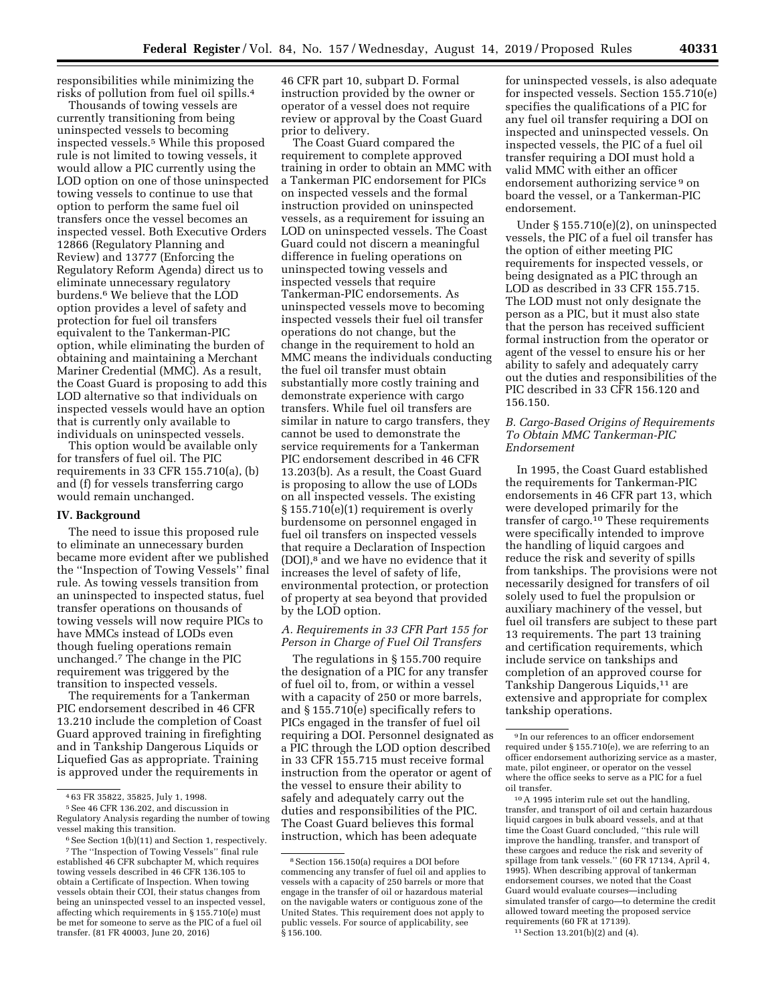responsibilities while minimizing the risks of pollution from fuel oil spills.4

Thousands of towing vessels are currently transitioning from being uninspected vessels to becoming inspected vessels.5 While this proposed rule is not limited to towing vessels, it would allow a PIC currently using the LOD option on one of those uninspected towing vessels to continue to use that option to perform the same fuel oil transfers once the vessel becomes an inspected vessel. Both Executive Orders 12866 (Regulatory Planning and Review) and 13777 (Enforcing the Regulatory Reform Agenda) direct us to eliminate unnecessary regulatory burdens.6 We believe that the LOD option provides a level of safety and protection for fuel oil transfers equivalent to the Tankerman-PIC option, while eliminating the burden of obtaining and maintaining a Merchant Mariner Credential (MMC). As a result, the Coast Guard is proposing to add this LOD alternative so that individuals on inspected vessels would have an option that is currently only available to individuals on uninspected vessels.

This option would be available only for transfers of fuel oil. The PIC requirements in 33 CFR 155.710(a), (b) and (f) for vessels transferring cargo would remain unchanged.

## **IV. Background**

The need to issue this proposed rule to eliminate an unnecessary burden became more evident after we published the ''Inspection of Towing Vessels'' final rule. As towing vessels transition from an uninspected to inspected status, fuel transfer operations on thousands of towing vessels will now require PICs to have MMCs instead of LODs even though fueling operations remain unchanged.7 The change in the PIC requirement was triggered by the transition to inspected vessels.

The requirements for a Tankerman PIC endorsement described in 46 CFR 13.210 include the completion of Coast Guard approved training in firefighting and in Tankship Dangerous Liquids or Liquefied Gas as appropriate. Training is approved under the requirements in

46 CFR part 10, subpart D. Formal instruction provided by the owner or operator of a vessel does not require review or approval by the Coast Guard prior to delivery.

The Coast Guard compared the requirement to complete approved training in order to obtain an MMC with a Tankerman PIC endorsement for PICs on inspected vessels and the formal instruction provided on uninspected vessels, as a requirement for issuing an LOD on uninspected vessels. The Coast Guard could not discern a meaningful difference in fueling operations on uninspected towing vessels and inspected vessels that require Tankerman-PIC endorsements. As uninspected vessels move to becoming inspected vessels their fuel oil transfer operations do not change, but the change in the requirement to hold an MMC means the individuals conducting the fuel oil transfer must obtain substantially more costly training and demonstrate experience with cargo transfers. While fuel oil transfers are similar in nature to cargo transfers, they cannot be used to demonstrate the service requirements for a Tankerman PIC endorsement described in 46 CFR 13.203(b). As a result, the Coast Guard is proposing to allow the use of LODs on all inspected vessels. The existing § 155.710(e)(1) requirement is overly burdensome on personnel engaged in fuel oil transfers on inspected vessels that require a Declaration of Inspection (DOI),8 and we have no evidence that it increases the level of safety of life, environmental protection, or protection of property at sea beyond that provided by the LOD option.

## *A. Requirements in 33 CFR Part 155 for Person in Charge of Fuel Oil Transfers*

The regulations in § 155.700 require the designation of a PIC for any transfer of fuel oil to, from, or within a vessel with a capacity of 250 or more barrels, and § 155.710(e) specifically refers to PICs engaged in the transfer of fuel oil requiring a DOI. Personnel designated as a PIC through the LOD option described in 33 CFR 155.715 must receive formal instruction from the operator or agent of the vessel to ensure their ability to safely and adequately carry out the duties and responsibilities of the PIC. The Coast Guard believes this formal instruction, which has been adequate

for uninspected vessels, is also adequate for inspected vessels. Section 155.710(e) specifies the qualifications of a PIC for any fuel oil transfer requiring a DOI on inspected and uninspected vessels. On inspected vessels, the PIC of a fuel oil transfer requiring a DOI must hold a valid MMC with either an officer endorsement authorizing service 9 on board the vessel, or a Tankerman-PIC endorsement.

Under § 155.710(e)(2), on uninspected vessels, the PIC of a fuel oil transfer has the option of either meeting PIC requirements for inspected vessels, or being designated as a PIC through an LOD as described in 33 CFR 155.715. The LOD must not only designate the person as a PIC, but it must also state that the person has received sufficient formal instruction from the operator or agent of the vessel to ensure his or her ability to safely and adequately carry out the duties and responsibilities of the PIC described in 33 CFR 156.120 and 156.150.

## *B. Cargo-Based Origins of Requirements To Obtain MMC Tankerman-PIC Endorsement*

In 1995, the Coast Guard established the requirements for Tankerman-PIC endorsements in 46 CFR part 13, which were developed primarily for the transfer of cargo.10 These requirements were specifically intended to improve the handling of liquid cargoes and reduce the risk and severity of spills from tankships. The provisions were not necessarily designed for transfers of oil solely used to fuel the propulsion or auxiliary machinery of the vessel, but fuel oil transfers are subject to these part 13 requirements. The part 13 training and certification requirements, which include service on tankships and completion of an approved course for Tankship Dangerous Liquids,11 are extensive and appropriate for complex tankship operations.

<sup>4</sup> 63 FR 35822, 35825, July 1, 1998.

<sup>5</sup>See 46 CFR 136.202, and discussion in Regulatory Analysis regarding the number of towing vessel making this transition.

<sup>6</sup>See Section 1(b)(11) and Section 1, respectively.

<sup>7</sup>The ''Inspection of Towing Vessels'' final rule established 46 CFR subchapter M, which requires towing vessels described in 46 CFR 136.105 to obtain a Certificate of Inspection. When towing vessels obtain their COI, their status changes from being an uninspected vessel to an inspected vessel, affecting which requirements in § 155.710(e) must be met for someone to serve as the PIC of a fuel oil transfer. (81 FR 40003, June 20, 2016)

<sup>8</sup>Section 156.150(a) requires a DOI before commencing any transfer of fuel oil and applies to vessels with a capacity of 250 barrels or more that engage in the transfer of oil or hazardous material on the navigable waters or contiguous zone of the United States. This requirement does not apply to public vessels. For source of applicability, see  $\hat{\S}$  156.100.

<sup>9</sup> In our references to an officer endorsement required under § 155.710(e), we are referring to an officer endorsement authorizing service as a master, mate, pilot engineer, or operator on the vessel where the office seeks to serve as a PIC for a fuel oil transfer.

<sup>10</sup>A 1995 interim rule set out the handling, transfer, and transport of oil and certain hazardous liquid cargoes in bulk aboard vessels, and at that time the Coast Guard concluded, ''this rule will improve the handling, transfer, and transport of these cargoes and reduce the risk and severity of spillage from tank vessels.'' (60 FR 17134, April 4, 1995). When describing approval of tankerman endorsement courses, we noted that the Coast Guard would evaluate courses—including simulated transfer of cargo—to determine the credit allowed toward meeting the proposed service requirements (60 FR at 17139).

<sup>11</sup>Section 13.201(b)(2) and (4).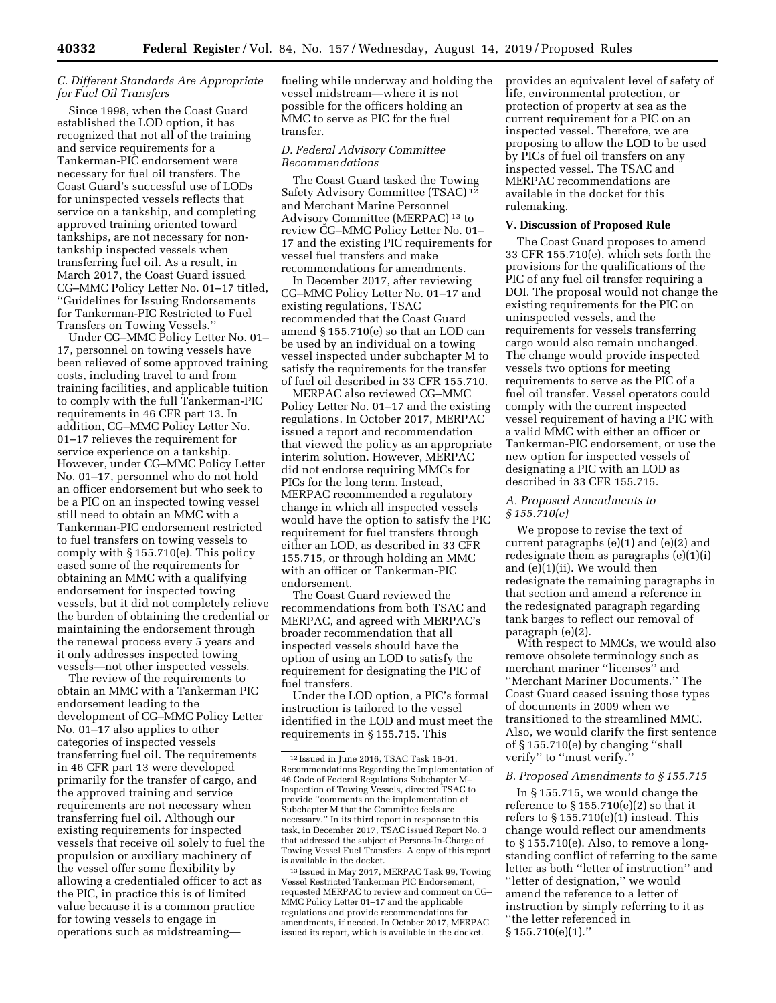## *C. Different Standards Are Appropriate for Fuel Oil Transfers*

Since 1998, when the Coast Guard established the LOD option, it has recognized that not all of the training and service requirements for a Tankerman-PIC endorsement were necessary for fuel oil transfers. The Coast Guard's successful use of LODs for uninspected vessels reflects that service on a tankship, and completing approved training oriented toward tankships, are not necessary for nontankship inspected vessels when transferring fuel oil. As a result, in March 2017, the Coast Guard issued CG–MMC Policy Letter No. 01–17 titled, ''Guidelines for Issuing Endorsements for Tankerman-PIC Restricted to Fuel Transfers on Towing Vessels.''

Under CG–MMC Policy Letter No. 01– 17, personnel on towing vessels have been relieved of some approved training costs, including travel to and from training facilities, and applicable tuition to comply with the full Tankerman-PIC requirements in 46 CFR part 13. In addition, CG–MMC Policy Letter No. 01–17 relieves the requirement for service experience on a tankship. However, under CG–MMC Policy Letter No. 01–17, personnel who do not hold an officer endorsement but who seek to be a PIC on an inspected towing vessel still need to obtain an MMC with a Tankerman-PIC endorsement restricted to fuel transfers on towing vessels to comply with § 155.710(e). This policy eased some of the requirements for obtaining an MMC with a qualifying endorsement for inspected towing vessels, but it did not completely relieve the burden of obtaining the credential or maintaining the endorsement through the renewal process every 5 years and it only addresses inspected towing vessels—not other inspected vessels.

The review of the requirements to obtain an MMC with a Tankerman PIC endorsement leading to the development of CG–MMC Policy Letter No. 01–17 also applies to other categories of inspected vessels transferring fuel oil. The requirements in 46 CFR part 13 were developed primarily for the transfer of cargo, and the approved training and service requirements are not necessary when transferring fuel oil. Although our existing requirements for inspected vessels that receive oil solely to fuel the propulsion or auxiliary machinery of the vessel offer some flexibility by allowing a credentialed officer to act as the PIC, in practice this is of limited value because it is a common practice for towing vessels to engage in operations such as midstreamingfueling while underway and holding the vessel midstream—where it is not possible for the officers holding an MMC to serve as PIC for the fuel transfer.

### *D. Federal Advisory Committee Recommendations*

The Coast Guard tasked the Towing Safety Advisory Committee (TSAC) 12 and Merchant Marine Personnel Advisory Committee (MERPAC) 13 to review CG–MMC Policy Letter No. 01– 17 and the existing PIC requirements for vessel fuel transfers and make recommendations for amendments.

In December 2017, after reviewing CG–MMC Policy Letter No. 01–17 and existing regulations, TSAC recommended that the Coast Guard amend § 155.710(e) so that an LOD can be used by an individual on a towing vessel inspected under subchapter M to satisfy the requirements for the transfer of fuel oil described in 33 CFR 155.710.

MERPAC also reviewed CG–MMC Policy Letter No. 01–17 and the existing regulations. In October 2017, MERPAC issued a report and recommendation that viewed the policy as an appropriate interim solution. However, MERPAC did not endorse requiring MMCs for PICs for the long term. Instead, MERPAC recommended a regulatory change in which all inspected vessels would have the option to satisfy the PIC requirement for fuel transfers through either an LOD, as described in 33 CFR 155.715, or through holding an MMC with an officer or Tankerman-PIC endorsement.

The Coast Guard reviewed the recommendations from both TSAC and MERPAC, and agreed with MERPAC's broader recommendation that all inspected vessels should have the option of using an LOD to satisfy the requirement for designating the PIC of fuel transfers.

Under the LOD option, a PIC's formal instruction is tailored to the vessel identified in the LOD and must meet the requirements in § 155.715. This

provides an equivalent level of safety of life, environmental protection, or protection of property at sea as the current requirement for a PIC on an inspected vessel. Therefore, we are proposing to allow the LOD to be used by PICs of fuel oil transfers on any inspected vessel. The TSAC and MERPAC recommendations are available in the docket for this rulemaking.

### **V. Discussion of Proposed Rule**

The Coast Guard proposes to amend 33 CFR 155.710(e), which sets forth the provisions for the qualifications of the PIC of any fuel oil transfer requiring a DOI. The proposal would not change the existing requirements for the PIC on uninspected vessels, and the requirements for vessels transferring cargo would also remain unchanged. The change would provide inspected vessels two options for meeting requirements to serve as the PIC of a fuel oil transfer. Vessel operators could comply with the current inspected vessel requirement of having a PIC with a valid MMC with either an officer or Tankerman-PIC endorsement, or use the new option for inspected vessels of designating a PIC with an LOD as described in 33 CFR 155.715.

## *A. Proposed Amendments to § 155.710(e)*

We propose to revise the text of current paragraphs (e)(1) and (e)(2) and redesignate them as paragraphs (e)(1)(i) and (e)(1)(ii). We would then redesignate the remaining paragraphs in that section and amend a reference in the redesignated paragraph regarding tank barges to reflect our removal of paragraph (e)(2).

With respect to MMCs, we would also remove obsolete terminology such as merchant mariner ''licenses'' and ''Merchant Mariner Documents.'' The Coast Guard ceased issuing those types of documents in 2009 when we transitioned to the streamlined MMC. Also, we would clarify the first sentence of § 155.710(e) by changing ''shall verify'' to ''must verify.''

# *B. Proposed Amendments to § 155.715*

In § 155.715, we would change the reference to  $\S 155.710(e)(2)$  so that it refers to § 155.710(e)(1) instead. This change would reflect our amendments to § 155.710(e). Also, to remove a longstanding conflict of referring to the same letter as both ''letter of instruction'' and "letter of designation," we would amend the reference to a letter of instruction by simply referring to it as ''the letter referenced in  $§ 155.710(e)(1)."$ 

<sup>12</sup> Issued in June 2016, TSAC Task 16-01, Recommendations Regarding the Implementation of 46 Code of Federal Regulations Subchapter M– Inspection of Towing Vessels, directed TSAC to provide ''comments on the implementation of Subchapter M that the Committee feels are necessary.'' In its third report in response to this task, in December 2017, TSAC issued Report No. 3 that addressed the subject of Persons-In-Charge of Towing Vessel Fuel Transfers. A copy of this report is available in the docket.

<sup>13</sup> Issued in May 2017, MERPAC Task 99, Towing Vessel Restricted Tankerman PIC Endorsement, requested MERPAC to review and comment on CG– MMC Policy Letter 01–17 and the applicable regulations and provide recommendations for amendments, if needed. In October 2017, MERPAC issued its report, which is available in the docket.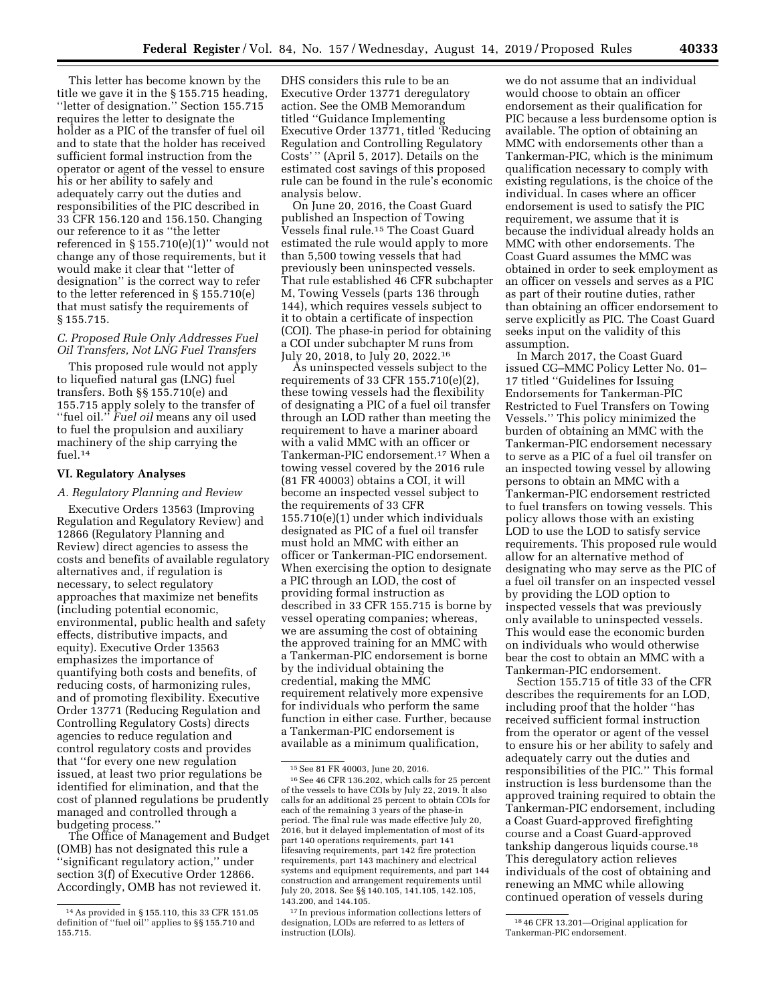This letter has become known by the title we gave it in the § 155.715 heading, ''letter of designation.'' Section 155.715 requires the letter to designate the holder as a PIC of the transfer of fuel oil and to state that the holder has received sufficient formal instruction from the operator or agent of the vessel to ensure his or her ability to safely and adequately carry out the duties and responsibilities of the PIC described in 33 CFR 156.120 and 156.150. Changing our reference to it as ''the letter referenced in  $\S 155.710(e)(1)$ " would not change any of those requirements, but it would make it clear that ''letter of designation'' is the correct way to refer to the letter referenced in § 155.710(e) that must satisfy the requirements of § 155.715.

## *C. Proposed Rule Only Addresses Fuel Oil Transfers, Not LNG Fuel Transfers*

This proposed rule would not apply to liquefied natural gas (LNG) fuel transfers. Both §§ 155.710(e) and 155.715 apply solely to the transfer of ''fuel oil.'' *Fuel oil* means any oil used to fuel the propulsion and auxiliary machinery of the ship carrying the fuel.14

## **VI. Regulatory Analyses**

## *A. Regulatory Planning and Review*

Executive Orders 13563 (Improving Regulation and Regulatory Review) and 12866 (Regulatory Planning and Review) direct agencies to assess the costs and benefits of available regulatory alternatives and, if regulation is necessary, to select regulatory approaches that maximize net benefits (including potential economic, environmental, public health and safety effects, distributive impacts, and equity). Executive Order 13563 emphasizes the importance of quantifying both costs and benefits, of reducing costs, of harmonizing rules, and of promoting flexibility. Executive Order 13771 (Reducing Regulation and Controlling Regulatory Costs) directs agencies to reduce regulation and control regulatory costs and provides that ''for every one new regulation issued, at least two prior regulations be identified for elimination, and that the cost of planned regulations be prudently managed and controlled through a budgeting process.''

The Office of Management and Budget (OMB) has not designated this rule a ''significant regulatory action,'' under section 3(f) of Executive Order 12866. Accordingly, OMB has not reviewed it.

DHS considers this rule to be an Executive Order 13771 deregulatory action. See the OMB Memorandum titled ''Guidance Implementing Executive Order 13771, titled 'Reducing Regulation and Controlling Regulatory Costs' '' (April 5, 2017). Details on the estimated cost savings of this proposed rule can be found in the rule's economic analysis below.

On June 20, 2016, the Coast Guard published an Inspection of Towing Vessels final rule.15 The Coast Guard estimated the rule would apply to more than 5,500 towing vessels that had previously been uninspected vessels. That rule established 46 CFR subchapter M, Towing Vessels (parts 136 through 144), which requires vessels subject to it to obtain a certificate of inspection (COI). The phase-in period for obtaining a COI under subchapter M runs from July 20, 2018, to July 20, 2022.16

As uninspected vessels subject to the requirements of 33 CFR 155.710(e)(2), these towing vessels had the flexibility of designating a PIC of a fuel oil transfer through an LOD rather than meeting the requirement to have a mariner aboard with a valid MMC with an officer or Tankerman-PIC endorsement.17 When a towing vessel covered by the 2016 rule (81 FR 40003) obtains a COI, it will become an inspected vessel subject to the requirements of 33 CFR 155.710(e)(1) under which individuals designated as PIC of a fuel oil transfer must hold an MMC with either an officer or Tankerman-PIC endorsement. When exercising the option to designate a PIC through an LOD, the cost of providing formal instruction as described in 33 CFR 155.715 is borne by vessel operating companies; whereas, we are assuming the cost of obtaining the approved training for an MMC with a Tankerman-PIC endorsement is borne by the individual obtaining the credential, making the MMC requirement relatively more expensive for individuals who perform the same function in either case. Further, because a Tankerman-PIC endorsement is available as a minimum qualification,

we do not assume that an individual would choose to obtain an officer endorsement as their qualification for PIC because a less burdensome option is available. The option of obtaining an MMC with endorsements other than a Tankerman-PIC, which is the minimum qualification necessary to comply with existing regulations, is the choice of the individual. In cases where an officer endorsement is used to satisfy the PIC requirement, we assume that it is because the individual already holds an MMC with other endorsements. The Coast Guard assumes the MMC was obtained in order to seek employment as an officer on vessels and serves as a PIC as part of their routine duties, rather than obtaining an officer endorsement to serve explicitly as PIC. The Coast Guard seeks input on the validity of this assumption.

In March 2017, the Coast Guard issued CG–MMC Policy Letter No. 01– 17 titled ''Guidelines for Issuing Endorsements for Tankerman-PIC Restricted to Fuel Transfers on Towing Vessels.'' This policy minimized the burden of obtaining an MMC with the Tankerman-PIC endorsement necessary to serve as a PIC of a fuel oil transfer on an inspected towing vessel by allowing persons to obtain an MMC with a Tankerman-PIC endorsement restricted to fuel transfers on towing vessels. This policy allows those with an existing LOD to use the LOD to satisfy service requirements. This proposed rule would allow for an alternative method of designating who may serve as the PIC of a fuel oil transfer on an inspected vessel by providing the LOD option to inspected vessels that was previously only available to uninspected vessels. This would ease the economic burden on individuals who would otherwise bear the cost to obtain an MMC with a Tankerman-PIC endorsement.

Section 155.715 of title 33 of the CFR describes the requirements for an LOD, including proof that the holder ''has received sufficient formal instruction from the operator or agent of the vessel to ensure his or her ability to safely and adequately carry out the duties and responsibilities of the PIC.'' This formal instruction is less burdensome than the approved training required to obtain the Tankerman-PIC endorsement, including a Coast Guard-approved firefighting course and a Coast Guard-approved tankship dangerous liquids course.18 This deregulatory action relieves individuals of the cost of obtaining and renewing an MMC while allowing continued operation of vessels during

<sup>14</sup>As provided in § 155.110, this 33 CFR 151.05 definition of ''fuel oil'' applies to §§ 155.710 and 155.715.

<sup>15</sup>See 81 FR 40003, June 20, 2016.

<sup>16</sup>See 46 CFR 136.202, which calls for 25 percent of the vessels to have COIs by July 22, 2019. It also calls for an additional 25 percent to obtain COIs for each of the remaining 3 years of the phase-in period. The final rule was made effective July 20, 2016, but it delayed implementation of most of its part 140 operations requirements, part 141 lifesaving requirements, part 142 fire protection requirements, part 143 machinery and electrical systems and equipment requirements, and part 144 construction and arrangement requirements until July 20, 2018. See §§ 140.105, 141.105, 142.105, 143.200, and 144.105.

<sup>17</sup> In previous information collections letters of designation, LODs are referred to as letters of instruction (LOIs).

<sup>18</sup> 46 CFR 13.201—Original application for Tankerman-PIC endorsement.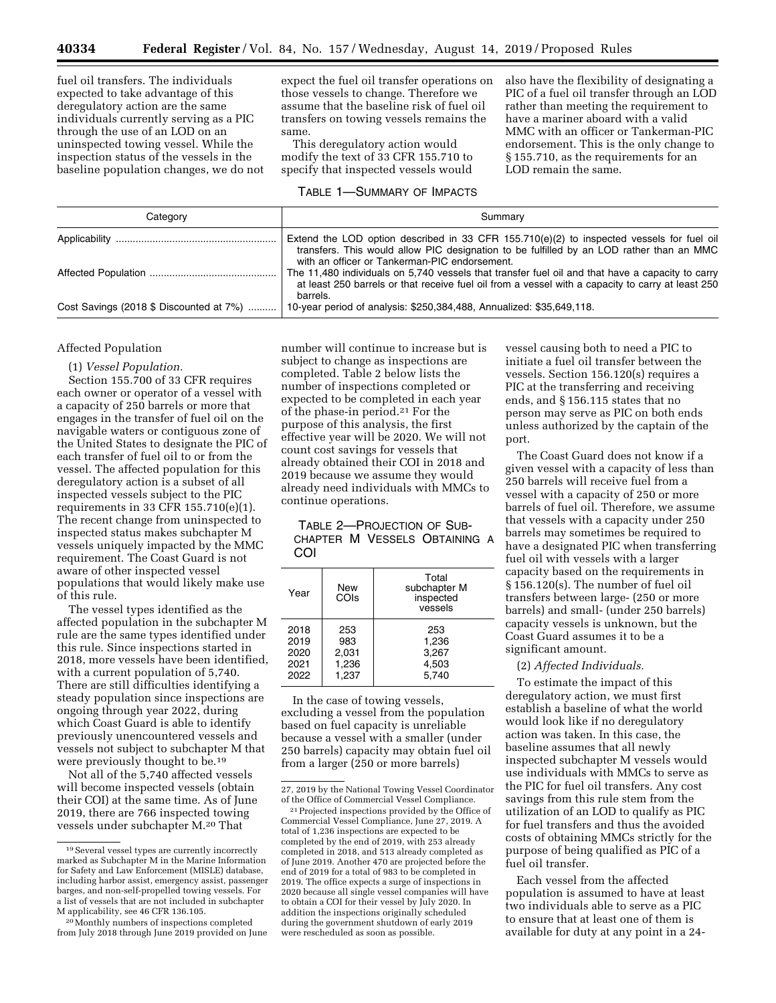fuel oil transfers. The individuals expected to take advantage of this deregulatory action are the same individuals currently serving as a PIC through the use of an LOD on an uninspected towing vessel. While the inspection status of the vessels in the baseline population changes, we do not expect the fuel oil transfer operations on those vessels to change. Therefore we assume that the baseline risk of fuel oil transfers on towing vessels remains the same.

This deregulatory action would modify the text of 33 CFR 155.710 to specify that inspected vessels would

## TABLE 1—SUMMARY OF IMPACTS

also have the flexibility of designating a PIC of a fuel oil transfer through an LOD rather than meeting the requirement to have a mariner aboard with a valid MMC with an officer or Tankerman-PIC endorsement. This is the only change to § 155.710, as the requirements for an LOD remain the same.

| Category                                | Summary                                                                                                                                                                                                                                  |  |  |
|-----------------------------------------|------------------------------------------------------------------------------------------------------------------------------------------------------------------------------------------------------------------------------------------|--|--|
|                                         | Extend the LOD option described in 33 CFR $155.710(e)(2)$ to inspected vessels for fuel oil<br>transfers. This would allow PIC designation to be fulfilled by an LOD rather than an MMC<br>with an officer or Tankerman-PIC endorsement. |  |  |
|                                         | The 11,480 individuals on 5,740 vessels that transfer fuel oil and that have a capacity to carry<br>at least 250 barrels or that receive fuel oil from a vessel with a capacity to carry at least 250<br>barrels.                        |  |  |
| Cost Savings (2018 \$ Discounted at 7%) | 10-year period of analysis: \$250,384,488, Annualized: \$35,649,118.                                                                                                                                                                     |  |  |

## Affected Population

#### (1) *Vessel Population.*

Section 155.700 of 33 CFR requires each owner or operator of a vessel with a capacity of 250 barrels or more that engages in the transfer of fuel oil on the navigable waters or contiguous zone of the United States to designate the PIC of each transfer of fuel oil to or from the vessel. The affected population for this deregulatory action is a subset of all inspected vessels subject to the PIC requirements in 33 CFR 155.710(e)(1). The recent change from uninspected to inspected status makes subchapter M vessels uniquely impacted by the MMC requirement. The Coast Guard is not aware of other inspected vessel populations that would likely make use of this rule.

The vessel types identified as the affected population in the subchapter M rule are the same types identified under this rule. Since inspections started in 2018, more vessels have been identified, with a current population of 5,740. There are still difficulties identifying a steady population since inspections are ongoing through year 2022, during which Coast Guard is able to identify previously unencountered vessels and vessels not subject to subchapter M that were previously thought to be.19

Not all of the 5,740 affected vessels will become inspected vessels (obtain their COI) at the same time. As of June 2019, there are 766 inspected towing vessels under subchapter M.20 That

number will continue to increase but is subject to change as inspections are completed. Table 2 below lists the number of inspections completed or expected to be completed in each year of the phase-in period.21 For the purpose of this analysis, the first effective year will be 2020. We will not count cost savings for vessels that already obtained their COI in 2018 and 2019 because we assume they would already need individuals with MMCs to continue operations.

# TABLE 2—PROJECTION OF SUB-CHAPTER M VESSELS OBTAINING A COI

| Year                                 | New<br>COIs                           | Total<br>subchapter M<br>inspected<br>vessels |
|--------------------------------------|---------------------------------------|-----------------------------------------------|
| 2018<br>2019<br>2020<br>2021<br>2022 | 253<br>983<br>2,031<br>1,236<br>1,237 | 253<br>1.236<br>3,267<br>4,503<br>5.740       |

In the case of towing vessels, excluding a vessel from the population based on fuel capacity is unreliable because a vessel with a smaller (under 250 barrels) capacity may obtain fuel oil from a larger (250 or more barrels)

vessel causing both to need a PIC to initiate a fuel oil transfer between the vessels. Section 156.120(s) requires a PIC at the transferring and receiving ends, and § 156.115 states that no person may serve as PIC on both ends unless authorized by the captain of the port.

The Coast Guard does not know if a given vessel with a capacity of less than 250 barrels will receive fuel from a vessel with a capacity of 250 or more barrels of fuel oil. Therefore, we assume that vessels with a capacity under 250 barrels may sometimes be required to have a designated PIC when transferring fuel oil with vessels with a larger capacity based on the requirements in § 156.120(s). The number of fuel oil transfers between large- (250 or more barrels) and small- (under 250 barrels) capacity vessels is unknown, but the Coast Guard assumes it to be a significant amount.

### (2) *Affected Individuals.*

To estimate the impact of this deregulatory action, we must first establish a baseline of what the world would look like if no deregulatory action was taken. In this case, the baseline assumes that all newly inspected subchapter M vessels would use individuals with MMCs to serve as the PIC for fuel oil transfers. Any cost savings from this rule stem from the utilization of an LOD to qualify as PIC for fuel transfers and thus the avoided costs of obtaining MMCs strictly for the purpose of being qualified as PIC of a fuel oil transfer.

Each vessel from the affected population is assumed to have at least two individuals able to serve as a PIC to ensure that at least one of them is available for duty at any point in a 24-

<sup>19</sup>Several vessel types are currently incorrectly marked as Subchapter M in the Marine Information for Safety and Law Enforcement (MISLE) database, including harbor assist, emergency assist, passenger barges, and non-self-propelled towing vessels. For a list of vessels that are not included in subchapter M applicability, see 46 CFR 136.105.

<sup>20</sup>Monthly numbers of inspections completed from July 2018 through June 2019 provided on June

<sup>27, 2019</sup> by the National Towing Vessel Coordinator of the Office of Commercial Vessel Compliance.

<sup>21</sup>Projected inspections provided by the Office of Commercial Vessel Compliance, June 27, 2019. A total of 1,236 inspections are expected to be completed by the end of 2019, with 253 already completed in 2018, and 513 already completed as of June 2019. Another 470 are projected before the end of 2019 for a total of 983 to be completed in 2019. The office expects a surge of inspections in 2020 because all single vessel companies will have to obtain a COI for their vessel by July 2020. In addition the inspections originally scheduled during the government shutdown of early 2019 were rescheduled as soon as possible.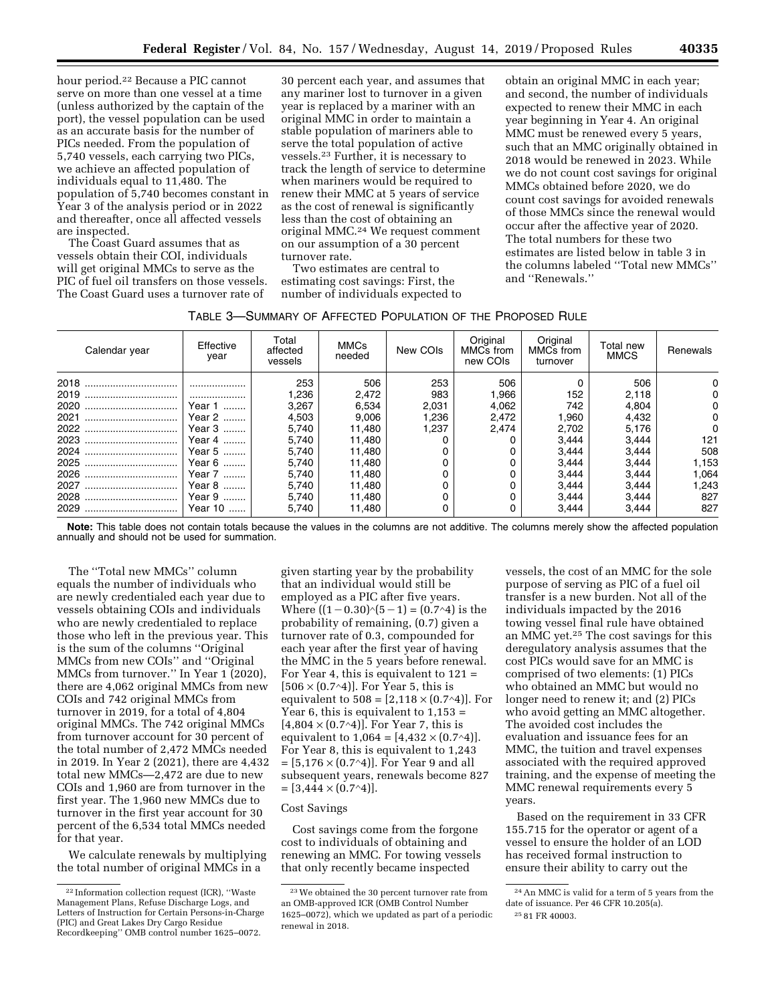hour period.22 Because a PIC cannot serve on more than one vessel at a time (unless authorized by the captain of the port), the vessel population can be used as an accurate basis for the number of PICs needed. From the population of 5,740 vessels, each carrying two PICs, we achieve an affected population of individuals equal to 11,480. The population of 5,740 becomes constant in Year 3 of the analysis period or in 2022 and thereafter, once all affected vessels are inspected.

The Coast Guard assumes that as vessels obtain their COI, individuals will get original MMCs to serve as the PIC of fuel oil transfers on those vessels. The Coast Guard uses a turnover rate of

30 percent each year, and assumes that any mariner lost to turnover in a given year is replaced by a mariner with an original MMC in order to maintain a stable population of mariners able to serve the total population of active vessels.23 Further, it is necessary to track the length of service to determine when mariners would be required to renew their MMC at 5 years of service as the cost of renewal is significantly less than the cost of obtaining an original MMC.24 We request comment on our assumption of a 30 percent turnover rate.

Two estimates are central to estimating cost savings: First, the number of individuals expected to

obtain an original MMC in each year; and second, the number of individuals expected to renew their MMC in each year beginning in Year 4. An original MMC must be renewed every 5 years, such that an MMC originally obtained in 2018 would be renewed in 2023. While we do not count cost savings for original MMCs obtained before 2020, we do count cost savings for avoided renewals of those MMCs since the renewal would occur after the affective year of 2020. The total numbers for these two estimates are listed below in table 3 in the columns labeled ''Total new MMCs'' and ''Renewals.''

| Calendar year | Effective<br>year | Total<br>affected<br>vessels | <b>MMCs</b><br>needed | New COIs | Original<br>MMC <sub>s</sub> from<br>new COIs | Original<br>MMC <sub>s</sub> from<br>turnover | Total new<br><b>MMCS</b> | Renewals |
|---------------|-------------------|------------------------------|-----------------------|----------|-----------------------------------------------|-----------------------------------------------|--------------------------|----------|
| 2018          |                   | 253                          | 506                   | 253      | 506                                           |                                               | 506                      |          |
| 2019<br>      |                   | l.236                        | 2,472                 | 983      | 1,966                                         | 152                                           | 2,118                    |          |
| 2020<br>      | Year 1            | 3.267                        | 6,534                 | 2.031    | 4,062                                         | 742                                           | 4.804                    |          |
| 2021<br>      | Year 2            | 4.503                        | 9,006                 | 1,236    | 2,472                                         | 1,960                                         | 4,432                    |          |
| 2022          | Year 3            | 5.740                        | 11.480                | 1.237    | 2.474                                         | 2.702                                         | 5.176                    |          |
|               | Year 4            | 5.740                        | 11,480                |          |                                               | 3.444                                         | 3,444                    | 121      |
|               | Year 5            | 5.740                        | 11.480                |          |                                               | 3.444                                         | 3.444                    | 508      |
| 2025<br>      | Year 6            | 5.740                        | 11.480                |          |                                               | 3.444                                         | 3.444                    | 1,153    |
| 2026<br>      | Year 7            | 5.740                        | 11.480                |          |                                               | 3.444                                         | 3.444                    | 1,064    |
|               | Year 8            | 5.740                        | 11.480                |          |                                               | 3.444                                         | 3.444                    | 1.243    |
| 2028<br>      | Year 9            | 5.740                        | 11.480                |          |                                               | 3.444                                         | 3.444                    | 827      |
| 2029          | Year 10           | 5.740                        | 11,480                |          |                                               | 3.444                                         | 3,444                    | 827      |

**Note:** This table does not contain totals because the values in the columns are not additive. The columns merely show the affected population annually and should not be used for summation.

The ''Total new MMCs'' column equals the number of individuals who are newly credentialed each year due to vessels obtaining COIs and individuals who are newly credentialed to replace those who left in the previous year. This is the sum of the columns ''Original MMCs from new COIs'' and ''Original MMCs from turnover.'' In Year 1 (2020), there are 4,062 original MMCs from new COIs and 742 original MMCs from turnover in 2019, for a total of 4,804 original MMCs. The 742 original MMCs from turnover account for 30 percent of the total number of 2,472 MMCs needed in 2019. In Year 2 (2021), there are 4,432 total new MMCs—2,472 are due to new COIs and 1,960 are from turnover in the first year. The 1,960 new MMCs due to turnover in the first year account for 30 percent of the 6,534 total MMCs needed for that year.

We calculate renewals by multiplying the total number of original MMCs in a

given starting year by the probability that an individual would still be employed as a PIC after five years. Where  $((1 – 0.30)^(5 – 1) = (0.7^4)$  is the probability of remaining, (0.7) given a turnover rate of 0.3, compounded for each year after the first year of having the MMC in the 5 years before renewal. For Year 4, this is equivalent to 121 =  $[506 \times (0.7 \cdot 4)]$ . For Year 5, this is equivalent to  $508 = [2,118 \times (0.7 \text{ A})]$ . For Year 6, this is equivalent to  $1,153 =$  $[4,804 \times (0.7 \cdot 4)]$ . For Year 7, this is equivalent to  $1,064 = [4,432 \times (0.7^4)]$ . For Year 8, this is equivalent to 1,243 = [5,176 × (0.7∧4)]. For Year 9 and all subsequent years, renewals become 827  $=[3,444 \times (0.7 \cdot 4)].$ 

## Cost Savings

Cost savings come from the forgone cost to individuals of obtaining and renewing an MMC. For towing vessels that only recently became inspected

vessels, the cost of an MMC for the sole purpose of serving as PIC of a fuel oil transfer is a new burden. Not all of the individuals impacted by the 2016 towing vessel final rule have obtained an MMC yet.25 The cost savings for this deregulatory analysis assumes that the cost PICs would save for an MMC is comprised of two elements: (1) PICs who obtained an MMC but would no longer need to renew it; and (2) PICs who avoid getting an MMC altogether. The avoided cost includes the evaluation and issuance fees for an MMC, the tuition and travel expenses associated with the required approved training, and the expense of meeting the MMC renewal requirements every 5 years.

Based on the requirement in 33 CFR 155.715 for the operator or agent of a vessel to ensure the holder of an LOD has received formal instruction to ensure their ability to carry out the

<sup>22</sup> Information collection request (ICR), ''Waste Management Plans, Refuse Discharge Logs, and Letters of Instruction for Certain Persons-in-Charge (PIC) and Great Lakes Dry Cargo Residue Recordkeeping'' OMB control number 1625–0072.

<sup>23</sup>We obtained the 30 percent turnover rate from an OMB-approved ICR (OMB Control Number 1625–0072), which we updated as part of a periodic renewal in 2018.

<sup>24</sup>An MMC is valid for a term of 5 years from the date of issuance. Per 46 CFR 10.205(a). 25 81 FR 40003.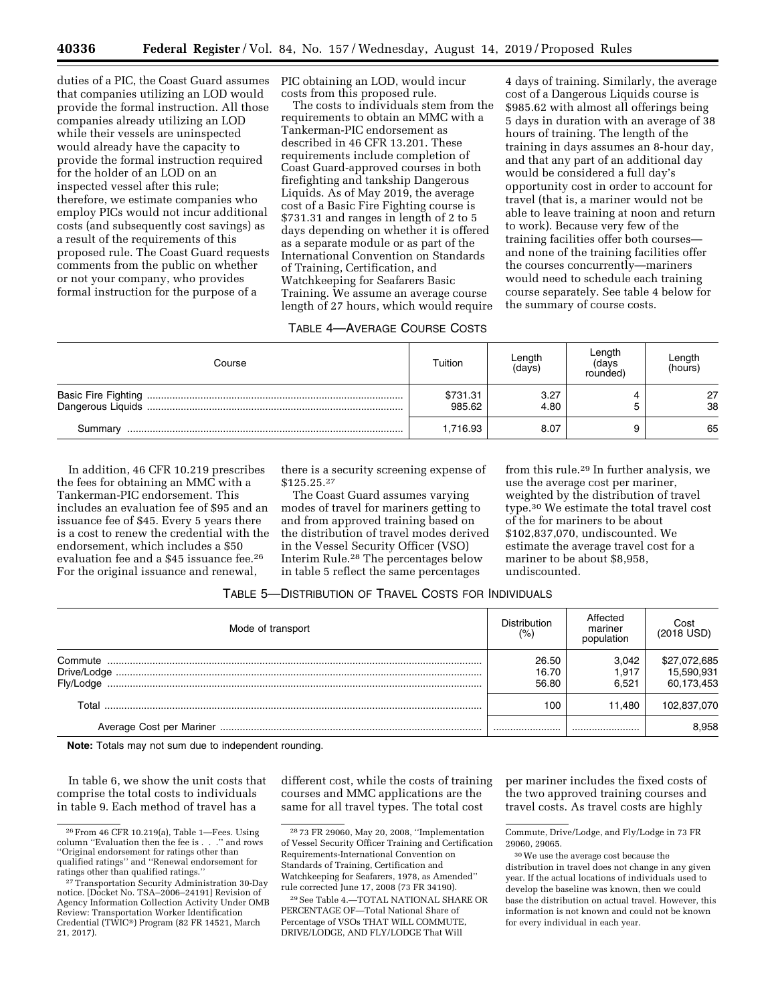duties of a PIC, the Coast Guard assumes that companies utilizing an LOD would provide the formal instruction. All those companies already utilizing an LOD while their vessels are uninspected would already have the capacity to provide the formal instruction required for the holder of an LOD on an inspected vessel after this rule; therefore, we estimate companies who employ PICs would not incur additional costs (and subsequently cost savings) as a result of the requirements of this proposed rule. The Coast Guard requests comments from the public on whether or not your company, who provides formal instruction for the purpose of a

PIC obtaining an LOD, would incur costs from this proposed rule.

The costs to individuals stem from the requirements to obtain an MMC with a Tankerman-PIC endorsement as described in 46 CFR 13.201. These requirements include completion of Coast Guard-approved courses in both firefighting and tankship Dangerous Liquids. As of May 2019, the average cost of a Basic Fire Fighting course is \$731.31 and ranges in length of 2 to 5 days depending on whether it is offered as a separate module or as part of the International Convention on Standards of Training, Certification, and Watchkeeping for Seafarers Basic Training. We assume an average course length of 27 hours, which would require

# TABLE 4—AVERAGE COURSE COSTS

4 days of training. Similarly, the average cost of a Dangerous Liquids course is \$985.62 with almost all offerings being 5 days in duration with an average of 38 hours of training. The length of the training in days assumes an 8-hour day, and that any part of an additional day would be considered a full day's opportunity cost in order to account for travel (that is, a mariner would not be able to leave training at noon and return to work). Because very few of the training facilities offer both courses and none of the training facilities offer the courses concurrently—mariners would need to schedule each training course separately. See table 4 below for the summary of course costs.

| Course            | Tuition            | Length<br>(days) | Length<br>(days<br>rounded) | Length<br>(hours) |  |
|-------------------|--------------------|------------------|-----------------------------|-------------------|--|
| Dangerous Liquids | \$731.31<br>985.62 | 3.27<br>4.80     |                             | 27<br>38          |  |
| Summary           | 1,716.93           | 8.07             |                             | 65                |  |

In addition, 46 CFR 10.219 prescribes the fees for obtaining an MMC with a Tankerman-PIC endorsement. This includes an evaluation fee of \$95 and an issuance fee of \$45. Every 5 years there is a cost to renew the credential with the endorsement, which includes a \$50 evaluation fee and a \$45 issuance fee.26 For the original issuance and renewal,

there is a security screening expense of \$125.25.27

The Coast Guard assumes varying modes of travel for mariners getting to and from approved training based on the distribution of travel modes derived in the Vessel Security Officer (VSO) Interim Rule.28 The percentages below in table 5 reflect the same percentages

from this rule.29 In further analysis, we use the average cost per mariner, weighted by the distribution of travel type.30 We estimate the total travel cost of the for mariners to be about \$102,837,070, undiscounted. We estimate the average travel cost for a mariner to be about \$8,958, undiscounted.

| TABLE 5—DISTRIBUTION OF TRAVEL COSTS FOR INDIVIDUALS |  |
|------------------------------------------------------|--|
|------------------------------------------------------|--|

| Mode of transport    | <b>Distribution</b><br>(% | Affected<br>mariner<br>population | Cost<br>(2018 USD)                       |
|----------------------|---------------------------|-----------------------------------|------------------------------------------|
| Commute<br>Flv/Lodge | 26.50<br>16.70<br>56.80   | 3.042<br>1.917<br>6.521           | \$27,072,685<br>15,590,931<br>60,173,453 |
| Total                | 100                       | 11.480                            | 102,837,070                              |
|                      |                           |                                   | 8.958                                    |

**Note:** Totals may not sum due to independent rounding.

In table 6, we show the unit costs that comprise the total costs to individuals in table 9. Each method of travel has a

different cost, while the costs of training courses and MMC applications are the same for all travel types. The total cost

29See Table 4.—TOTAL NATIONAL SHARE OR PERCENTAGE OF—Total National Share of Percentage of VSOs THAT WILL COMMUTE, DRIVE/LODGE, AND FLY/LODGE That Will

per mariner includes the fixed costs of the two approved training courses and travel costs. As travel costs are highly

<sup>26</sup>From 46 CFR 10.219(a), Table 1—Fees. Using column ''Evaluation then the fee is . . .'' and rows ''Original endorsement for ratings other than qualified ratings'' and ''Renewal endorsement for

<sup>&</sup>lt;sup>27</sup> Transportation Security Administration 30-Day notice. [Docket No. TSA–2006–24191] Revision of Agency Information Collection Activity Under OMB Review: Transportation Worker Identification Credential (TWIC®) Program (82 FR 14521, March 21, 2017).

<sup>28</sup> 73 FR 29060, May 20, 2008, ''Implementation of Vessel Security Officer Training and Certification Requirements-International Convention on Standards of Training, Certification and Watchkeeping for Seafarers, 1978, as Amended'' rule corrected June 17, 2008 (73 FR 34190).

Commute, Drive/Lodge, and Fly/Lodge in 73 FR 29060, 29065.

<sup>30</sup>We use the average cost because the distribution in travel does not change in any given year. If the actual locations of individuals used to develop the baseline was known, then we could base the distribution on actual travel. However, this information is not known and could not be known for every individual in each year.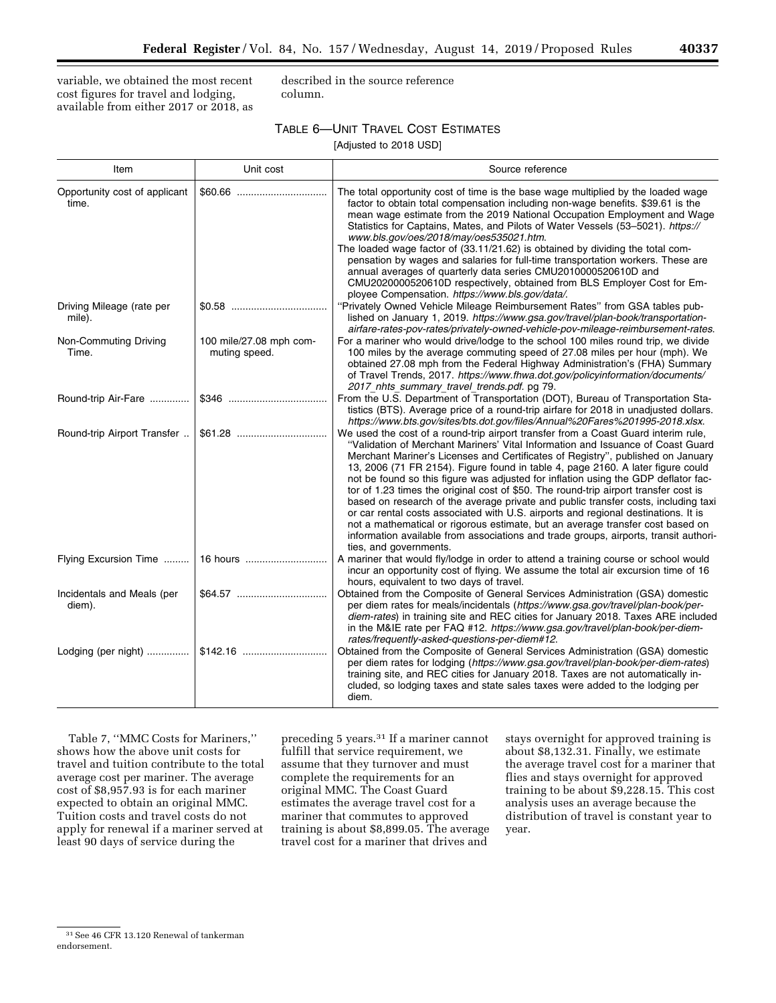variable, we obtained the most recent cost figures for travel and lodging, available from either 2017 or 2018, as described in the source reference column.

# TABLE 6—UNIT TRAVEL COST ESTIMATES

[Adjusted to 2018 USD]

| Item                                   | Unit cost                                | Source reference                                                                                                                                                                                                                                                                                                                                                                                                                                                                                                                                                                                                                                                                                                                                                                                                                                                                                          |
|----------------------------------------|------------------------------------------|-----------------------------------------------------------------------------------------------------------------------------------------------------------------------------------------------------------------------------------------------------------------------------------------------------------------------------------------------------------------------------------------------------------------------------------------------------------------------------------------------------------------------------------------------------------------------------------------------------------------------------------------------------------------------------------------------------------------------------------------------------------------------------------------------------------------------------------------------------------------------------------------------------------|
| Opportunity cost of applicant<br>time. |                                          | The total opportunity cost of time is the base wage multiplied by the loaded wage<br>factor to obtain total compensation including non-wage benefits. \$39.61 is the<br>mean wage estimate from the 2019 National Occupation Employment and Wage<br>Statistics for Captains, Mates, and Pilots of Water Vessels (53-5021). https://<br>www.bls.gov/oes/2018/may/oes535021.htm.<br>The loaded wage factor of (33.11/21.62) is obtained by dividing the total com-<br>pensation by wages and salaries for full-time transportation workers. These are<br>annual averages of quarterly data series CMU2010000520610D and<br>CMU2020000520610D respectively, obtained from BLS Employer Cost for Em-<br>ployee Compensation. https://www.bls.gov/data/.                                                                                                                                                       |
| Driving Mileage (rate per<br>mile).    |                                          | "Privately Owned Vehicle Mileage Reimbursement Rates" from GSA tables pub-<br>lished on January 1, 2019. https://www.gsa.gov/travel/plan-book/transportation-<br>airfare-rates-pov-rates/privately-owned-vehicle-pov-mileage-reimbursement-rates.                                                                                                                                                                                                                                                                                                                                                                                                                                                                                                                                                                                                                                                         |
| Non-Commuting Driving<br>Time.         | 100 mile/27.08 mph com-<br>muting speed. | For a mariner who would drive/lodge to the school 100 miles round trip, we divide<br>100 miles by the average commuting speed of 27.08 miles per hour (mph). We<br>obtained 27.08 mph from the Federal Highway Administration's (FHA) Summary<br>of Travel Trends, 2017. https://www.fhwa.dot.gov/policyinformation/documents/<br>2017 nhts summary travel trends.pdf. pg 79.                                                                                                                                                                                                                                                                                                                                                                                                                                                                                                                             |
| Round-trip Air-Fare                    |                                          | From the U.S. Department of Transportation (DOT), Bureau of Transportation Sta-<br>tistics (BTS). Average price of a round-trip airfare for 2018 in unadjusted dollars.<br>https://www.bts.gov/sites/bts.dot.gov/files/Annual%20Fares%201995-2018.xlsx.                                                                                                                                                                                                                                                                                                                                                                                                                                                                                                                                                                                                                                                   |
| Round-trip Airport Transfer            |                                          | We used the cost of a round-trip airport transfer from a Coast Guard interim rule,<br>"Validation of Merchant Mariners' Vital Information and Issuance of Coast Guard<br>Merchant Mariner's Licenses and Certificates of Registry", published on January<br>13, 2006 (71 FR 2154). Figure found in table 4, page 2160. A later figure could<br>not be found so this figure was adjusted for inflation using the GDP deflator fac-<br>tor of 1.23 times the original cost of \$50. The round-trip airport transfer cost is<br>based on research of the average private and public transfer costs, including taxi<br>or car rental costs associated with U.S. airports and regional destinations. It is<br>not a mathematical or rigorous estimate, but an average transfer cost based on<br>information available from associations and trade groups, airports, transit authori-<br>ties, and governments. |
| Flying Excursion Time                  | 16 hours                                 | A mariner that would fly/lodge in order to attend a training course or school would<br>incur an opportunity cost of flying. We assume the total air excursion time of 16<br>hours, equivalent to two days of travel.                                                                                                                                                                                                                                                                                                                                                                                                                                                                                                                                                                                                                                                                                      |
| Incidentals and Meals (per<br>diem).   |                                          | Obtained from the Composite of General Services Administration (GSA) domestic<br>per diem rates for meals/incidentals (https://www.gsa.gov/travel/plan-book/per-<br>diem-rates) in training site and REC cities for January 2018. Taxes ARE included<br>in the M&IE rate per FAQ #12. https://www.gsa.gov/travel/plan-book/per-diem-<br>rates/frequently-asked-questions-per-diem#12.                                                                                                                                                                                                                                                                                                                                                                                                                                                                                                                     |
| Lodging (per night)    \$142.16        |                                          | Obtained from the Composite of General Services Administration (GSA) domestic<br>per diem rates for lodging (https://www.gsa.gov/travel/plan-book/per-diem-rates)<br>training site, and REC cities for January 2018. Taxes are not automatically in-<br>cluded, so lodging taxes and state sales taxes were added to the lodging per<br>diem.                                                                                                                                                                                                                                                                                                                                                                                                                                                                                                                                                             |

Table 7, ''MMC Costs for Mariners,'' shows how the above unit costs for travel and tuition contribute to the total average cost per mariner. The average cost of \$8,957.93 is for each mariner expected to obtain an original MMC. Tuition costs and travel costs do not apply for renewal if a mariner served at least 90 days of service during the

preceding 5 years.31 If a mariner cannot fulfill that service requirement, we assume that they turnover and must complete the requirements for an original MMC. The Coast Guard estimates the average travel cost for a mariner that commutes to approved training is about \$8,899.05. The average travel cost for a mariner that drives and

stays overnight for approved training is about \$8,132.31. Finally, we estimate the average travel cost for a mariner that flies and stays overnight for approved training to be about \$9,228.15. This cost analysis uses an average because the distribution of travel is constant year to year.

<sup>31</sup>See 46 CFR 13.120 Renewal of tankerman endorsement.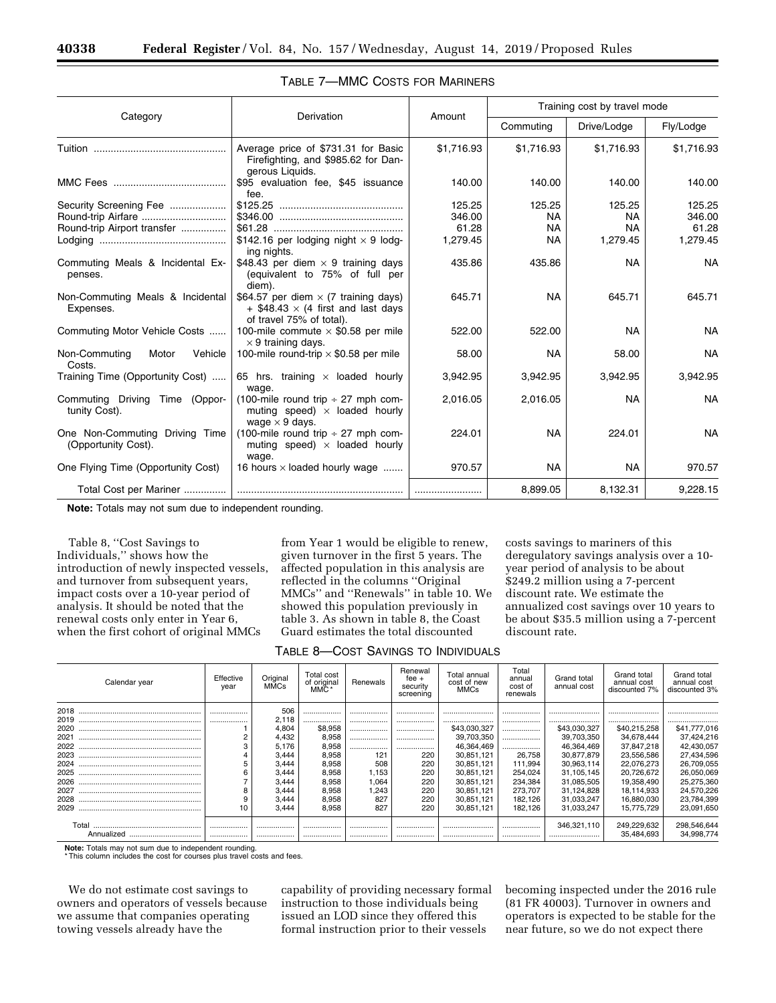|                                                       |                                                                                                                        |                                       | Training cost by travel mode                  |                                              |                                       |  |
|-------------------------------------------------------|------------------------------------------------------------------------------------------------------------------------|---------------------------------------|-----------------------------------------------|----------------------------------------------|---------------------------------------|--|
| Category                                              | Derivation                                                                                                             | Amount                                | Commuting                                     | Drive/Lodge                                  | Fly/Lodge                             |  |
|                                                       | Average price of \$731.31 for Basic<br>Firefighting, and \$985.62 for Dan-<br>gerous Liquids.                          | \$1,716.93                            | \$1,716.93                                    | \$1,716.93                                   | \$1,716.93                            |  |
|                                                       | \$95 evaluation fee, \$45 issuance<br>fee.                                                                             | 140.00                                | 140.00                                        | 140.00                                       | 140.00                                |  |
| Security Screening Fee<br>Round-trip Airport transfer | \$142.16 per lodging night $\times$ 9 lodg-                                                                            | 125.25<br>346.00<br>61.28<br>1,279.45 | 125.25<br><b>NA</b><br><b>NA</b><br><b>NA</b> | 125.25<br><b>NA</b><br><b>NA</b><br>1,279.45 | 125.25<br>346.00<br>61.28<br>1,279.45 |  |
| Commuting Meals & Incidental Ex-<br>penses.           | ing nights.<br>\$48.43 per diem $\times$ 9 training days<br>(equivalent to 75% of full per<br>diem).                   | 435.86                                | 435.86                                        | <b>NA</b>                                    | <b>NA</b>                             |  |
| Non-Commuting Meals & Incidental<br>Expenses.         | \$64.57 per diem $\times$ (7 training days)<br>$+$ \$48.43 $\times$ (4 first and last days<br>of travel 75% of total). | 645.71                                | <b>NA</b>                                     | 645.71                                       | 645.71                                |  |
| Commuting Motor Vehicle Costs                         | 100-mile commute $\times$ \$0.58 per mile<br>$\times$ 9 training days.                                                 | 522.00                                | 522.00                                        | <b>NA</b>                                    | <b>NA</b>                             |  |
| Non-Commuting<br>Motor<br>Vehicle<br>Costs.           | 100-mile round-trip $\times$ \$0.58 per mile                                                                           | 58.00                                 | <b>NA</b>                                     | 58.00                                        | <b>NA</b>                             |  |
| Training Time (Opportunity Cost)                      | 65 hrs. training $\times$ loaded hourly<br>wage.                                                                       | 3,942.95                              | 3,942.95                                      | 3,942.95                                     | 3,942.95                              |  |
| Commuting Driving Time (Oppor-<br>tunity Cost).       | (100-mile round trip $\div$ 27 mph com-<br>muting speed) $\times$ loaded hourly<br>wage $\times$ 9 days.               | 2,016.05                              | 2,016.05                                      | <b>NA</b>                                    | <b>NA</b>                             |  |
| One Non-Commuting Driving Time<br>(Opportunity Cost). | (100-mile round trip $\div$ 27 mph com-<br>muting speed) $\times$ loaded hourly<br>wage.                               | 224.01                                | <b>NA</b>                                     | 224.01                                       | <b>NA</b>                             |  |
| One Flying Time (Opportunity Cost)                    | 16 hours $\times$ loaded hourly wage                                                                                   | 970.57                                | <b>NA</b>                                     | <b>NA</b>                                    | 970.57                                |  |
| Total Cost per Mariner                                |                                                                                                                        |                                       | 8,899.05                                      | 8,132.31                                     | 9,228.15                              |  |

**Note:** Totals may not sum due to independent rounding.

Table 8, ''Cost Savings to Individuals,'' shows how the introduction of newly inspected vessels, and turnover from subsequent years, impact costs over a 10-year period of analysis. It should be noted that the renewal costs only enter in Year 6, when the first cohort of original MMCs

from Year 1 would be eligible to renew, given turnover in the first 5 years. The affected population in this analysis are reflected in the columns ''Original MMCs'' and ''Renewals'' in table 10. We showed this population previously in table 3. As shown in table 8, the Coast Guard estimates the total discounted

costs savings to mariners of this deregulatory savings analysis over a 10 year period of analysis to be about \$249.2 million using a 7-percent discount rate. We estimate the annualized cost savings over 10 years to be about \$35.5 million using a 7-percent discount rate.

TABLE 8—COST SAVINGS TO INDIVIDUALS

| Calendar year           | Effective<br>year | Original<br>MMCs | Total cost<br>of original<br>MMČ* | Renewals | Renewal<br>$fee +$<br>security<br>screening | Total annual<br>cost of new<br><b>MMCs</b> | Total<br>annual<br>cost of<br>renewals | Grand total<br>annual cost | Grand total<br>annual cost<br>discounted 7% | Grand total<br>annual cost<br>discounted 3% |
|-------------------------|-------------------|------------------|-----------------------------------|----------|---------------------------------------------|--------------------------------------------|----------------------------------------|----------------------------|---------------------------------------------|---------------------------------------------|
| 2018                    |                   | 506              |                                   |          |                                             |                                            |                                        |                            |                                             |                                             |
| 2019                    |                   | 2.118            |                                   |          |                                             |                                            |                                        |                            |                                             |                                             |
| 2020                    |                   | 4,804            | \$8,958                           |          |                                             | \$43,030,327                               |                                        | \$43,030,327               | \$40,215,258                                | \$41,777,016                                |
| 2021                    |                   | 4,432            | 8,958                             |          |                                             | 39,703,350                                 |                                        | 39.703.350                 | 34.678.444                                  | 37,424,216                                  |
| 2022                    |                   | 5,176            | 8,958                             |          |                                             | 46,364,469                                 |                                        | 46.364.469                 | 37.847.218                                  | 42,430,057                                  |
| 2023                    |                   | 3,444            | 8,958                             | 121      | 220                                         | 30.851.121                                 | 26.758                                 | 30,877,879                 | 23,556,586                                  | 27,434,596                                  |
| 2024                    |                   | 3,444            | 8,958                             | 508      | 220                                         | 30.851.121                                 | 111.994                                | 30,963,114                 | 22,076,273                                  | 26,709,055                                  |
| 2025                    |                   | 3,444            | 8,958                             | 1,153    | 220                                         | 30,851,121                                 | 254,024                                | 31.105.145                 | 20,726,672                                  | 26,050,069                                  |
| 2026                    |                   | 3.444            | 8,958                             | 1,064    | 220                                         | 30.851.121                                 | 234,384                                | 31.085.505                 | 19,358,490                                  | 25,275,360                                  |
| 2027                    |                   | 3.444            | 8,958                             | 1,243    | 220                                         | 30.851.121                                 | 273.707                                | 31.124.828                 | 18.114.933                                  | 24,570,226                                  |
| 2028                    |                   | 3.444            | 8,958                             | 827      | 220                                         | 30.851.121                                 | 182.126                                | 31.033.247                 | 16,880,030                                  | 23,784,399                                  |
| 2029                    | 10                | 3.444            | 8.958                             | 827      | 220                                         | 30.851.121                                 | 182.126                                | 31.033.247                 | 15.775.729                                  | 23.091.650                                  |
| Total<br>Annualized<br> | <br>              | <br>             | <br>                              | <br>     | <br>                                        | <br>                                       | <br>                                   | 346.321.110<br>            | 249,229,632<br>35,484,693                   | 298,546,644<br>34,998,774                   |

**Note:** Totals may not sum due to independent rounding. \* This column includes the cost for courses plus travel costs and fees.

We do not estimate cost savings to owners and operators of vessels because we assume that companies operating towing vessels already have the

capability of providing necessary formal instruction to those individuals being issued an LOD since they offered this formal instruction prior to their vessels

becoming inspected under the 2016 rule (81 FR 40003). Turnover in owners and operators is expected to be stable for the near future, so we do not expect there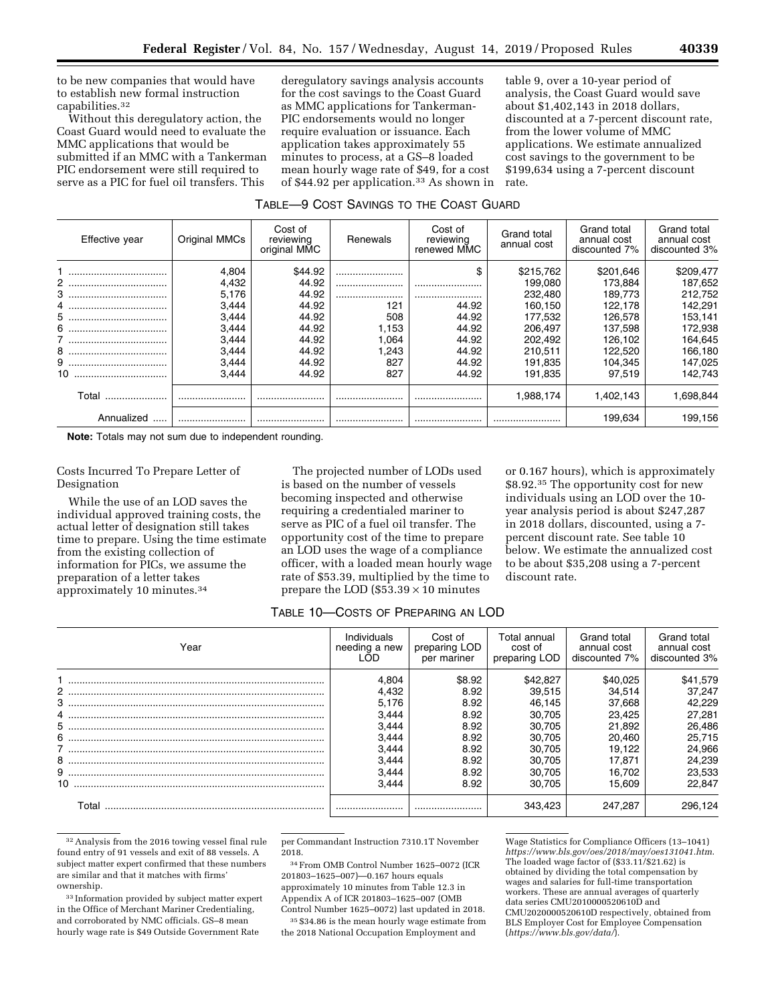to be new companies that would have to establish new formal instruction capabilities.32

Without this deregulatory action, the Coast Guard would need to evaluate the MMC applications that would be submitted if an MMC with a Tankerman PIC endorsement were still required to serve as a PIC for fuel oil transfers. This

deregulatory savings analysis accounts for the cost savings to the Coast Guard as MMC applications for Tankerman-PIC endorsements would no longer require evaluation or issuance. Each application takes approximately 55 minutes to process, at a GS–8 loaded mean hourly wage rate of \$49, for a cost of \$44.92 per application.33 As shown in

table 9, over a 10-year period of analysis, the Coast Guard would save about \$1,402,143 in 2018 dollars, discounted at a 7-percent discount rate, from the lower volume of MMC applications. We estimate annualized cost savings to the government to be \$199,634 using a 7-percent discount rate.

| TABLE-9 COST SAVINGS TO THE COAST GUARD |  |  |
|-----------------------------------------|--|--|
|-----------------------------------------|--|--|

| Effective year | Original MMCs | Cost of<br>reviewing<br>original MMC | Renewals | Cost of<br>reviewing<br>renewed MMC | Grand total<br>annual cost | Grand total<br>annual cost<br>discounted 7% | Grand total<br>annual cost<br>discounted 3% |
|----------------|---------------|--------------------------------------|----------|-------------------------------------|----------------------------|---------------------------------------------|---------------------------------------------|
|                | 4,804         | \$44.92                              |          | \$                                  | \$215,762                  | \$201.646                                   | \$209,477                                   |
|                | 4,432         | 44.92                                |          |                                     | 199.080                    | 173.884                                     | 187.652                                     |
|                | 5.176         | 44.92                                |          |                                     | 232,480                    | 189.773                                     | 212,752                                     |
|                | 3,444         | 44.92                                | 121      | 44.92                               | 160.150                    | 122.178                                     | 142,291                                     |
|                | 3.444         | 44.92                                | 508      | 44.92                               | 177.532                    | 126.578                                     | 153,141                                     |
|                | 3.444         | 44.92                                | 1.153    | 44.92                               | 206.497                    | 137.598                                     | 172,938                                     |
|                | 3.444         | 44.92                                | .064     | 44.92                               | 202.492                    | 126.102                                     | 164,645                                     |
|                | 3.444         | 44.92                                | .243     | 44.92                               | 210.511                    | 122.520                                     | 166,180                                     |
|                | 3,444         | 44.92                                | 827      | 44.92                               | 191.835                    | 104.345                                     | 147,025                                     |
|                | 3.444         | 44.92                                | 827      | 44.92                               | 191.835                    | 97.519                                      | 142.743                                     |
| Total          |               |                                      |          |                                     | 1,988,174                  | 1.402.143                                   | 1,698,844                                   |
| Annualized     |               |                                      |          |                                     |                            | 199.634                                     | 199.156                                     |

**Note:** Totals may not sum due to independent rounding.

Costs Incurred To Prepare Letter of Designation

While the use of an LOD saves the individual approved training costs, the actual letter of designation still takes time to prepare. Using the time estimate from the existing collection of information for PICs, we assume the preparation of a letter takes approximately 10 minutes.34

The projected number of LODs used is based on the number of vessels becoming inspected and otherwise requiring a credentialed mariner to serve as PIC of a fuel oil transfer. The opportunity cost of the time to prepare an LOD uses the wage of a compliance officer, with a loaded mean hourly wage rate of \$53.39, multiplied by the time to prepare the LOD  $(\$53.39 \times 10$  minutes

or 0.167 hours), which is approximately \$8.92.35 The opportunity cost for new individuals using an LOD over the 10 year analysis period is about \$247,287 in 2018 dollars, discounted, using a 7 percent discount rate. See table 10 below. We estimate the annualized cost to be about \$35,208 using a 7-percent discount rate.

# TABLE 10—COSTS OF PREPARING AN LOD

| Year                                              | Individuals<br>needing a new<br>.OD | Cost of<br>preparing LOD<br>per mariner | Total annual<br>cost of<br>preparing LOD | Grand total<br>annual cost<br>discounted 7% | Grand total<br>annual cost<br>discounted 3% |
|---------------------------------------------------|-------------------------------------|-----------------------------------------|------------------------------------------|---------------------------------------------|---------------------------------------------|
|                                                   | 4.804                               | \$8.92                                  | \$42,827                                 | \$40.025                                    | \$41,579                                    |
|                                                   | 4.432                               | 8.92                                    | 39.515                                   | 34.514                                      | 37.247                                      |
|                                                   | 5.176                               | 8.92                                    | 46.145                                   | 37.668                                      | 42.229                                      |
|                                                   | 3.444                               | 8.92                                    | 30.705                                   | 23.425                                      | 27,281                                      |
|                                                   | 3.444                               | 8.92                                    | 30.705                                   | 21.892                                      | 26,486                                      |
|                                                   | 3.444                               | 8.92                                    | 30.705                                   | 20.460                                      | 25.715                                      |
|                                                   | 3.444                               | 8.92                                    | 30.705                                   | 19.122                                      | 24,966                                      |
|                                                   | 3.444                               | 8.92                                    | 30.705                                   | 17.871                                      | 24.239                                      |
| $\begin{minipage}{.4\linewidth} 9 \end{minipage}$ | 3.444                               | 8.92                                    | 30.705                                   | 16.702                                      | 23.533                                      |
|                                                   | 3.444                               | 8.92                                    | 30.705                                   | 15.609                                      | 22.847                                      |
| Γ∩tal                                             |                                     |                                         |                                          | 247.287                                     | 296.124                                     |

32Analysis from the 2016 towing vessel final rule found entry of 91 vessels and exit of 88 vessels. A subject matter expert confirmed that these numbers are similar and that it matches with firms' ownership.

33 Information provided by subject matter expert in the Office of Merchant Mariner Credentialing, and corroborated by NMC officials. GS–8 mean hourly wage rate is \$49 Outside Government Rate

per Commandant Instruction 7310.1T November 2018.

34From OMB Control Number 1625–0072 (ICR 201803–1625–007)—0.167 hours equals approximately 10 minutes from Table 12.3 in Appendix A of ICR 201803–1625–007 (OMB Control Number 1625–0072) last updated in 2018.

35 \$34.86 is the mean hourly wage estimate from the 2018 National Occupation Employment and

Wage Statistics for Compliance Officers (13–1041) *<https://www.bls.gov/oes/2018/may/oes131041.htm>*. The loaded wage factor of (\$33.11/\$21.62) is obtained by dividing the total compensation by wages and salaries for full-time transportation workers. These are annual averages of quarterly data series CMU2010000520610D and CMU2020000520610D respectively, obtained from BLS Employer Cost for Employee Compensation (*<https://www.bls.gov/data/>*).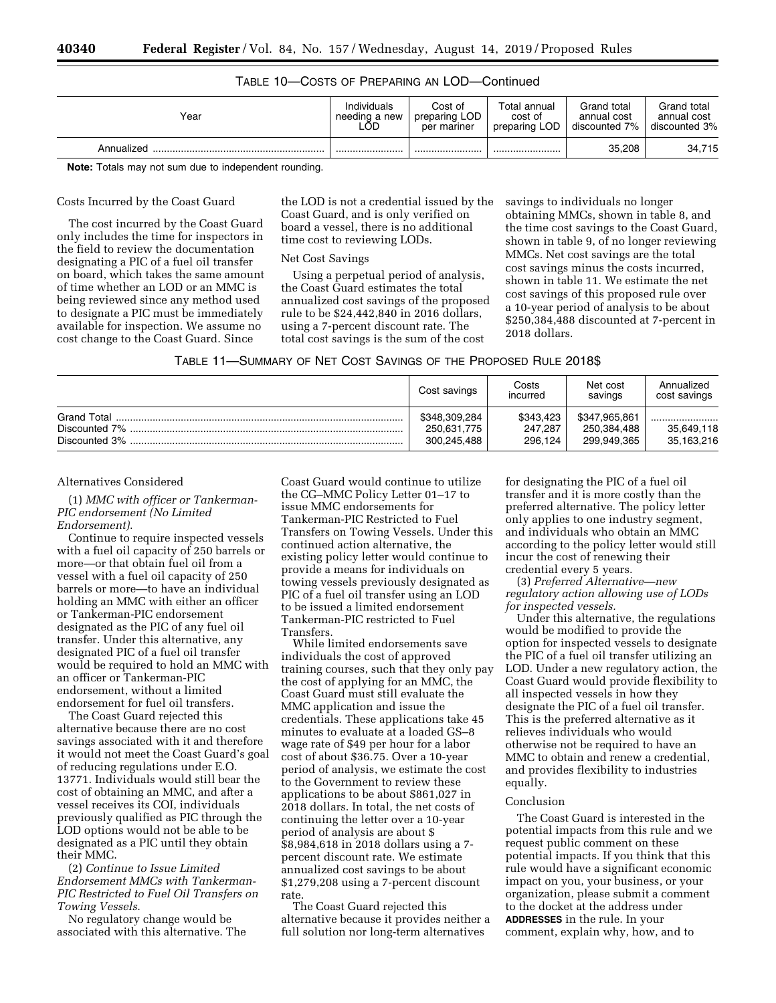# TABLE 10—COSTS OF PREPARING AN LOD—Continued

| Year       | Individuals   | Cost of       | Total annual  | Grand total   | Grand total   |
|------------|---------------|---------------|---------------|---------------|---------------|
|            | needing a new | preparing LOD | cost of       | annual cost   | annual cost   |
|            | LOD.          | per mariner   | preparing LOD | discounted 7% | discounted 3% |
| Annualized |               |               |               | 35,208        | 34,715        |

**Note:** Totals may not sum due to independent rounding.

## Costs Incurred by the Coast Guard

The cost incurred by the Coast Guard only includes the time for inspectors in the field to review the documentation designating a PIC of a fuel oil transfer on board, which takes the same amount of time whether an LOD or an MMC is being reviewed since any method used to designate a PIC must be immediately available for inspection. We assume no cost change to the Coast Guard. Since

the LOD is not a credential issued by the Coast Guard, and is only verified on board a vessel, there is no additional time cost to reviewing LODs.

## Net Cost Savings

Using a perpetual period of analysis, the Coast Guard estimates the total annualized cost savings of the proposed rule to be \$24,442,840 in 2016 dollars, using a 7-percent discount rate. The total cost savings is the sum of the cost

savings to individuals no longer obtaining MMCs, shown in table 8, and the time cost savings to the Coast Guard, shown in table 9, of no longer reviewing MMCs. Net cost savings are the total cost savings minus the costs incurred, shown in table 11. We estimate the net cost savings of this proposed rule over a 10-year period of analysis to be about \$250,384,488 discounted at 7-percent in 2018 dollars.

|                                               | Cost savings                                | Costs<br>incurred               | Net cost<br>savings                         | Annualized<br>cost savings   |
|-----------------------------------------------|---------------------------------------------|---------------------------------|---------------------------------------------|------------------------------|
| Grand Total<br>Discounted 7%<br>Discounted 3% | \$348,309,284<br>250.631.775<br>300,245,488 | \$343.423<br>247.287<br>296.124 | \$347,965,861<br>250,384,488<br>299,949,365 | <br>35,649,118<br>35,163,216 |

### Alternatives Considered

(1) *MMC with officer or Tankerman-PIC endorsement (No Limited Endorsement)*.

Continue to require inspected vessels with a fuel oil capacity of 250 barrels or more—or that obtain fuel oil from a vessel with a fuel oil capacity of 250 barrels or more—to have an individual holding an MMC with either an officer or Tankerman-PIC endorsement designated as the PIC of any fuel oil transfer. Under this alternative, any designated PIC of a fuel oil transfer would be required to hold an MMC with an officer or Tankerman-PIC endorsement, without a limited endorsement for fuel oil transfers.

The Coast Guard rejected this alternative because there are no cost savings associated with it and therefore it would not meet the Coast Guard's goal of reducing regulations under E.O. 13771. Individuals would still bear the cost of obtaining an MMC, and after a vessel receives its COI, individuals previously qualified as PIC through the LOD options would not be able to be designated as a PIC until they obtain their MMC.

(2) *Continue to Issue Limited Endorsement MMCs with Tankerman-PIC Restricted to Fuel Oil Transfers on Towing Vessels*.

No regulatory change would be associated with this alternative. The Coast Guard would continue to utilize the CG–MMC Policy Letter 01–17 to issue MMC endorsements for Tankerman-PIC Restricted to Fuel Transfers on Towing Vessels. Under this continued action alternative, the existing policy letter would continue to provide a means for individuals on towing vessels previously designated as PIC of a fuel oil transfer using an LOD to be issued a limited endorsement Tankerman-PIC restricted to Fuel Transfers.

While limited endorsements save individuals the cost of approved training courses, such that they only pay the cost of applying for an MMC, the Coast Guard must still evaluate the MMC application and issue the credentials. These applications take 45 minutes to evaluate at a loaded GS–8 wage rate of \$49 per hour for a labor cost of about \$36.75. Over a 10-year period of analysis, we estimate the cost to the Government to review these applications to be about \$861,027 in 2018 dollars. In total, the net costs of continuing the letter over a 10-year period of analysis are about \$ \$8,984,618 in 2018 dollars using a 7 percent discount rate. We estimate annualized cost savings to be about \$1,279,208 using a 7-percent discount rate.

The Coast Guard rejected this alternative because it provides neither a full solution nor long-term alternatives

for designating the PIC of a fuel oil transfer and it is more costly than the preferred alternative. The policy letter only applies to one industry segment, and individuals who obtain an MMC according to the policy letter would still incur the cost of renewing their credential every 5 years.

(3) *Preferred Alternative—new regulatory action allowing use of LODs for inspected vessels.* 

Under this alternative, the regulations would be modified to provide the option for inspected vessels to designate the PIC of a fuel oil transfer utilizing an LOD. Under a new regulatory action, the Coast Guard would provide flexibility to all inspected vessels in how they designate the PIC of a fuel oil transfer. This is the preferred alternative as it relieves individuals who would otherwise not be required to have an MMC to obtain and renew a credential, and provides flexibility to industries equally.

#### Conclusion

The Coast Guard is interested in the potential impacts from this rule and we request public comment on these potential impacts. If you think that this rule would have a significant economic impact on you, your business, or your organization, please submit a comment to the docket at the address under **ADDRESSES** in the rule. In your comment, explain why, how, and to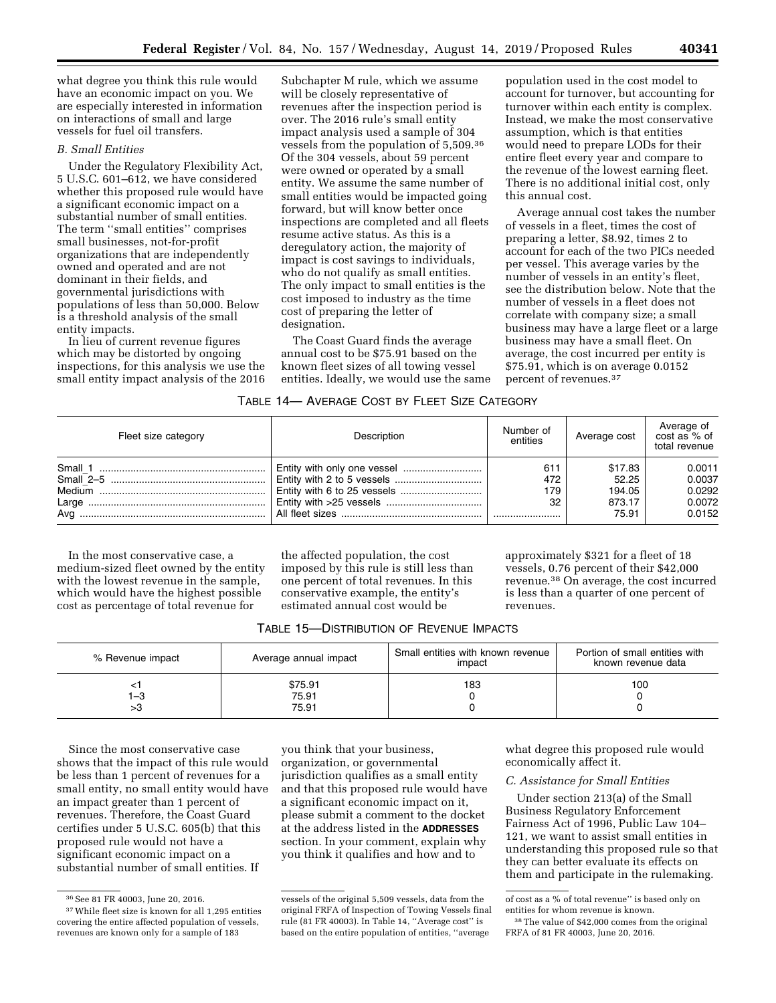what degree you think this rule would have an economic impact on you. We are especially interested in information on interactions of small and large vessels for fuel oil transfers.

# *B. Small Entities*

Under the Regulatory Flexibility Act, 5 U.S.C. 601–612, we have considered whether this proposed rule would have a significant economic impact on a substantial number of small entities. The term ''small entities'' comprises small businesses, not-for-profit organizations that are independently owned and operated and are not dominant in their fields, and governmental jurisdictions with populations of less than 50,000. Below is a threshold analysis of the small entity impacts.

In lieu of current revenue figures which may be distorted by ongoing inspections, for this analysis we use the small entity impact analysis of the 2016 Subchapter M rule, which we assume will be closely representative of revenues after the inspection period is over. The 2016 rule's small entity impact analysis used a sample of 304 vessels from the population of 5,509.36 Of the 304 vessels, about 59 percent were owned or operated by a small entity. We assume the same number of small entities would be impacted going forward, but will know better once inspections are completed and all fleets resume active status. As this is a deregulatory action, the majority of impact is cost savings to individuals, who do not qualify as small entities. The only impact to small entities is the cost imposed to industry as the time cost of preparing the letter of designation.

The Coast Guard finds the average annual cost to be \$75.91 based on the known fleet sizes of all towing vessel entities. Ideally, we would use the same

population used in the cost model to account for turnover, but accounting for turnover within each entity is complex. Instead, we make the most conservative assumption, which is that entities would need to prepare LODs for their entire fleet every year and compare to the revenue of the lowest earning fleet. There is no additional initial cost, only this annual cost.

Average annual cost takes the number of vessels in a fleet, times the cost of preparing a letter, \$8.92, times 2 to account for each of the two PICs needed per vessel. This average varies by the number of vessels in an entity's fleet, see the distribution below. Note that the number of vessels in a fleet does not correlate with company size; a small business may have a large fleet or a large business may have a small fleet. On average, the cost incurred per entity is \$75.91, which is on average 0.0152 percent of revenues.37

## TABLE 14— AVERAGE COST BY FLEET SIZE CATEGORY

| Fleet size category | Description | Number of<br>entities | Average cost               | Average of<br>cost as % of<br>total revenue |
|---------------------|-------------|-----------------------|----------------------------|---------------------------------------------|
|                     |             | 611<br>472<br>179     | \$17.83<br>52.25<br>194.05 | 0.0011<br>0.0037<br>0.0292                  |
| Ava                 |             | 32                    | 873.17<br>75.91            | 0.0072<br>0.0152                            |

In the most conservative case, a medium-sized fleet owned by the entity with the lowest revenue in the sample, which would have the highest possible cost as percentage of total revenue for

the affected population, the cost imposed by this rule is still less than one percent of total revenues. In this conservative example, the entity's estimated annual cost would be

approximately \$321 for a fleet of 18 vessels, 0.76 percent of their \$42,000 revenue.38 On average, the cost incurred is less than a quarter of one percent of revenues.

| TABLE 15-DISTRIBUTION OF REVENUE IMPACTS |  |
|------------------------------------------|--|
|------------------------------------------|--|

| % Revenue impact | Average annual impact     | Small entities with known revenue<br>impact | Portion of small entities with<br>known revenue data |
|------------------|---------------------------|---------------------------------------------|------------------------------------------------------|
| 1–3<br>>ა        | \$75.91<br>75.91<br>75.91 | 183                                         | 100                                                  |

Since the most conservative case shows that the impact of this rule would be less than 1 percent of revenues for a small entity, no small entity would have an impact greater than 1 percent of revenues. Therefore, the Coast Guard certifies under 5 U.S.C. 605(b) that this proposed rule would not have a significant economic impact on a substantial number of small entities. If

you think that your business, organization, or governmental jurisdiction qualifies as a small entity and that this proposed rule would have a significant economic impact on it, please submit a comment to the docket at the address listed in the **ADDRESSES** section. In your comment, explain why you think it qualifies and how and to

what degree this proposed rule would economically affect it.

## *C. Assistance for Small Entities*

Under section 213(a) of the Small Business Regulatory Enforcement Fairness Act of 1996, Public Law 104– 121, we want to assist small entities in understanding this proposed rule so that they can better evaluate its effects on them and participate in the rulemaking.

<sup>36</sup>See 81 FR 40003, June 20, 2016.

<sup>37</sup>While fleet size is known for all 1,295 entities covering the entire affected population of vessels, revenues are known only for a sample of 183

vessels of the original 5,509 vessels, data from the original FRFA of Inspection of Towing Vessels final rule (81 FR 40003). In Table 14, ''Average cost'' is based on the entire population of entities, ''average

of cost as a % of total revenue'' is based only on entities for whom revenue is known.

<sup>38</sup>The value of \$42,000 comes from the original FRFA of 81 FR 40003, June 20, 2016.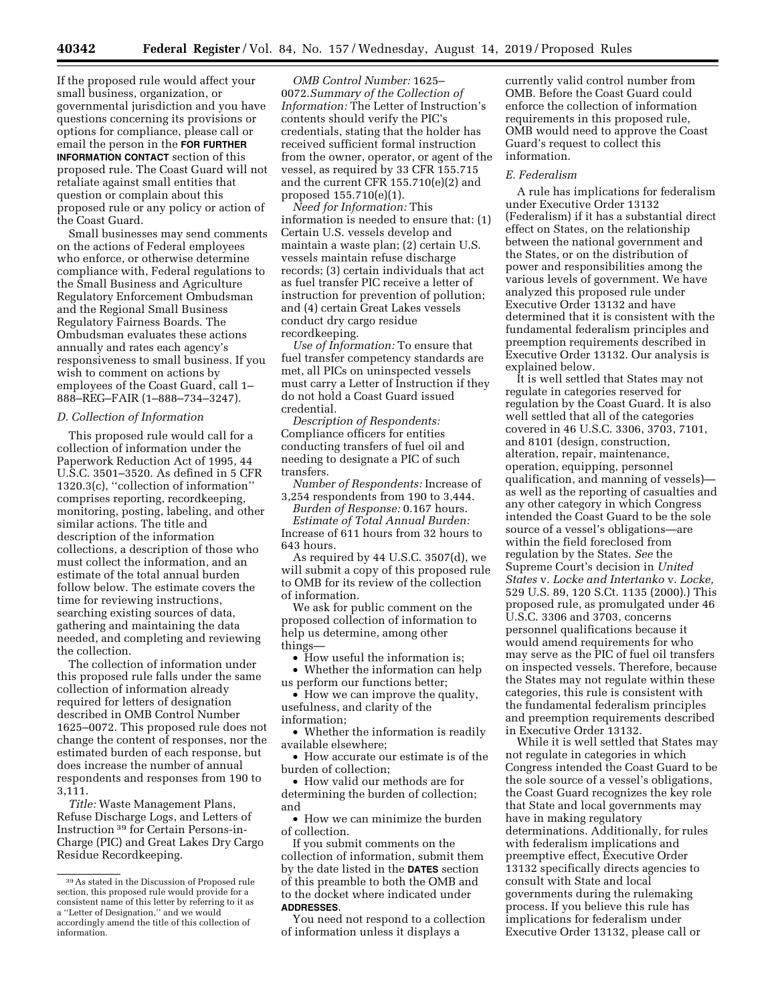If the proposed rule would affect your small business, organization, or governmental jurisdiction and you have questions concerning its provisions or options for compliance, please call or email the person in the **FOR FURTHER INFORMATION CONTACT** section of this proposed rule. The Coast Guard will not retaliate against small entities that question or complain about this proposed rule or any policy or action of the Coast Guard.

Small businesses may send comments on the actions of Federal employees who enforce, or otherwise determine compliance with, Federal regulations to the Small Business and Agriculture Regulatory Enforcement Ombudsman and the Regional Small Business Regulatory Fairness Boards. The Ombudsman evaluates these actions annually and rates each agency's responsiveness to small business. If you wish to comment on actions by employees of the Coast Guard, call 1– 888–REG–FAIR (1–888–734–3247).

## *D. Collection of Information*

This proposed rule would call for a collection of information under the Paperwork Reduction Act of 1995, 44 U.S.C. 3501–3520. As defined in 5 CFR 1320.3(c), ''collection of information'' comprises reporting, recordkeeping, monitoring, posting, labeling, and other similar actions. The title and description of the information collections, a description of those who must collect the information, and an estimate of the total annual burden follow below. The estimate covers the time for reviewing instructions, searching existing sources of data, gathering and maintaining the data needed, and completing and reviewing the collection.

The collection of information under this proposed rule falls under the same collection of information already required for letters of designation described in OMB Control Number 1625–0072. This proposed rule does not change the content of responses, nor the estimated burden of each response, but does increase the number of annual respondents and responses from 190 to 3,111.

*Title:* Waste Management Plans, Refuse Discharge Logs, and Letters of Instruction 39 for Certain Persons-in-Charge (PIC) and Great Lakes Dry Cargo Residue Recordkeeping.

*OMB Control Number:* 1625– 0072.*Summary of the Collection of Information:* The Letter of Instruction's contents should verify the PIC's credentials, stating that the holder has received sufficient formal instruction from the owner, operator, or agent of the vessel, as required by 33 CFR 155.715 and the current CFR 155.710(e)(2) and proposed 155.710(e)(1).

*Need for Information:* This information is needed to ensure that: (1) Certain U.S. vessels develop and maintain a waste plan; (2) certain U.S. vessels maintain refuse discharge records; (3) certain individuals that act as fuel transfer PIC receive a letter of instruction for prevention of pollution; and (4) certain Great Lakes vessels conduct dry cargo residue recordkeeping.

*Use of Information:* To ensure that fuel transfer competency standards are met, all PICs on uninspected vessels must carry a Letter of Instruction if they do not hold a Coast Guard issued credential.

*Description of Respondents:*  Compliance officers for entities conducting transfers of fuel oil and needing to designate a PIC of such transfers.

*Number of Respondents:* Increase of 3,254 respondents from 190 to 3,444.

*Burden of Response:* 0.167 hours.

*Estimate of Total Annual Burden:*  Increase of 611 hours from 32 hours to 643 hours.

As required by 44 U.S.C. 3507(d), we will submit a copy of this proposed rule to OMB for its review of the collection of information.

We ask for public comment on the proposed collection of information to help us determine, among other things—

• How useful the information is;

• Whether the information can help us perform our functions better;

• How we can improve the quality, usefulness, and clarity of the information;

• Whether the information is readily available elsewhere;

• How accurate our estimate is of the burden of collection;

• How valid our methods are for determining the burden of collection; and

• How we can minimize the burden of collection.

If you submit comments on the collection of information, submit them by the date listed in the **DATES** section of this preamble to both the OMB and to the docket where indicated under **ADDRESSES**.

You need not respond to a collection of information unless it displays a

currently valid control number from OMB. Before the Coast Guard could enforce the collection of information requirements in this proposed rule, OMB would need to approve the Coast Guard's request to collect this information.

#### *E. Federalism*

A rule has implications for federalism under Executive Order 13132 (Federalism) if it has a substantial direct effect on States, on the relationship between the national government and the States, or on the distribution of power and responsibilities among the various levels of government. We have analyzed this proposed rule under Executive Order 13132 and have determined that it is consistent with the fundamental federalism principles and preemption requirements described in Executive Order 13132. Our analysis is explained below.

It is well settled that States may not regulate in categories reserved for regulation by the Coast Guard. It is also well settled that all of the categories covered in 46 U.S.C. 3306, 3703, 7101, and 8101 (design, construction, alteration, repair, maintenance, operation, equipping, personnel qualification, and manning of vessels) as well as the reporting of casualties and any other category in which Congress intended the Coast Guard to be the sole source of a vessel's obligations—are within the field foreclosed from regulation by the States. *See* the Supreme Court's decision in *United States* v. *Locke and Intertanko* v. *Locke,*  529 U.S. 89, 120 S.Ct. 1135 (2000).) This proposed rule, as promulgated under 46 U.S.C. 3306 and 3703, concerns personnel qualifications because it would amend requirements for who may serve as the PIC of fuel oil transfers on inspected vessels. Therefore, because the States may not regulate within these categories, this rule is consistent with the fundamental federalism principles and preemption requirements described in Executive Order 13132.

While it is well settled that States may not regulate in categories in which Congress intended the Coast Guard to be the sole source of a vessel's obligations, the Coast Guard recognizes the key role that State and local governments may have in making regulatory determinations. Additionally, for rules with federalism implications and preemptive effect, Executive Order 13132 specifically directs agencies to consult with State and local governments during the rulemaking process. If you believe this rule has implications for federalism under Executive Order 13132, please call or

<sup>39</sup>As stated in the Discussion of Proposed rule section, this proposed rule would provide for a consistent name of this letter by referring to it as a ''Letter of Designation,'' and we would accordingly amend the title of this collection of information.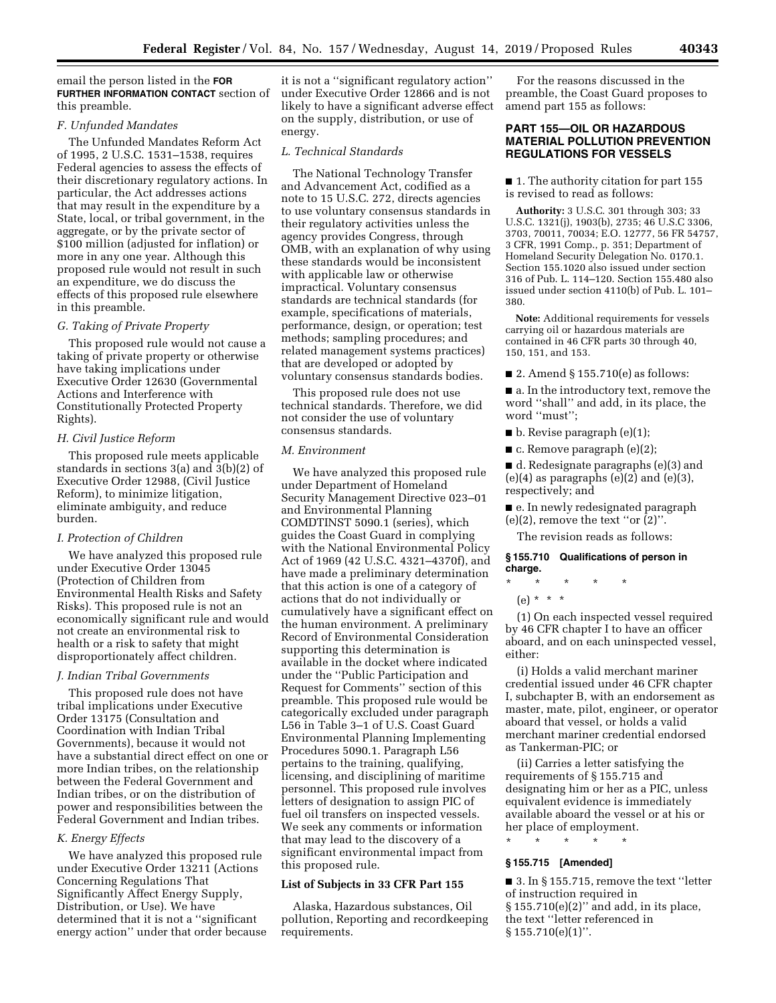## email the person listed in the **FOR FURTHER INFORMATION CONTACT** section of this preamble.

## *F. Unfunded Mandates*

The Unfunded Mandates Reform Act of 1995, 2 U.S.C. 1531–1538, requires Federal agencies to assess the effects of their discretionary regulatory actions. In particular, the Act addresses actions that may result in the expenditure by a State, local, or tribal government, in the aggregate, or by the private sector of \$100 million (adjusted for inflation) or more in any one year. Although this proposed rule would not result in such an expenditure, we do discuss the effects of this proposed rule elsewhere in this preamble.

### *G. Taking of Private Property*

This proposed rule would not cause a taking of private property or otherwise have taking implications under Executive Order 12630 (Governmental Actions and Interference with Constitutionally Protected Property Rights).

# *H. Civil Justice Reform*

This proposed rule meets applicable standards in sections 3(a) and 3(b)(2) of Executive Order 12988, (Civil Justice Reform), to minimize litigation, eliminate ambiguity, and reduce burden.

## *I. Protection of Children*

We have analyzed this proposed rule under Executive Order 13045 (Protection of Children from Environmental Health Risks and Safety Risks). This proposed rule is not an economically significant rule and would not create an environmental risk to health or a risk to safety that might disproportionately affect children.

### *J. Indian Tribal Governments*

This proposed rule does not have tribal implications under Executive Order 13175 (Consultation and Coordination with Indian Tribal Governments), because it would not have a substantial direct effect on one or more Indian tribes, on the relationship between the Federal Government and Indian tribes, or on the distribution of power and responsibilities between the Federal Government and Indian tribes.

## *K. Energy Effects*

We have analyzed this proposed rule under Executive Order 13211 (Actions Concerning Regulations That Significantly Affect Energy Supply, Distribution, or Use). We have determined that it is not a ''significant energy action'' under that order because

it is not a ''significant regulatory action'' under Executive Order 12866 and is not likely to have a significant adverse effect on the supply, distribution, or use of energy.

### *L. Technical Standards*

The National Technology Transfer and Advancement Act, codified as a note to 15 U.S.C. 272, directs agencies to use voluntary consensus standards in their regulatory activities unless the agency provides Congress, through OMB, with an explanation of why using these standards would be inconsistent with applicable law or otherwise impractical. Voluntary consensus standards are technical standards (for example, specifications of materials, performance, design, or operation; test methods; sampling procedures; and related management systems practices) that are developed or adopted by voluntary consensus standards bodies.

This proposed rule does not use technical standards. Therefore, we did not consider the use of voluntary consensus standards.

### *M. Environment*

We have analyzed this proposed rule under Department of Homeland Security Management Directive 023–01 and Environmental Planning COMDTINST 5090.1 (series), which guides the Coast Guard in complying with the National Environmental Policy Act of 1969 (42 U.S.C. 4321–4370f), and have made a preliminary determination that this action is one of a category of actions that do not individually or cumulatively have a significant effect on the human environment. A preliminary Record of Environmental Consideration supporting this determination is available in the docket where indicated under the ''Public Participation and Request for Comments'' section of this preamble. This proposed rule would be categorically excluded under paragraph L56 in Table 3–1 of U.S. Coast Guard Environmental Planning Implementing Procedures 5090.1. Paragraph L56 pertains to the training, qualifying, licensing, and disciplining of maritime personnel. This proposed rule involves letters of designation to assign PIC of fuel oil transfers on inspected vessels. We seek any comments or information that may lead to the discovery of a significant environmental impact from this proposed rule.

### **List of Subjects in 33 CFR Part 155**

Alaska, Hazardous substances, Oil pollution, Reporting and recordkeeping requirements.

For the reasons discussed in the preamble, the Coast Guard proposes to amend part 155 as follows:

## **PART 155—OIL OR HAZARDOUS MATERIAL POLLUTION PREVENTION REGULATIONS FOR VESSELS**

■ 1. The authority citation for part 155 is revised to read as follows:

**Authority:** 3 U.S.C. 301 through 303; 33 U.S.C. 1321(j), 1903(b), 2735; 46 U.S.C 3306, 3703, 70011, 70034; E.O. 12777, 56 FR 54757, 3 CFR, 1991 Comp., p. 351; Department of Homeland Security Delegation No. 0170.1. Section 155.1020 also issued under section 316 of Pub. L. 114–120. Section 155.480 also issued under section 4110(b) of Pub. L. 101– 380.

**Note:** Additional requirements for vessels carrying oil or hazardous materials are contained in 46 CFR parts 30 through 40, 150, 151, and 153.

■ 2. Amend §  $155.710(e)$  as follows:

■ a. In the introductory text, remove the word ''shall'' and add, in its place, the word ''must'';

■ b. Revise paragraph (e)(1);

■ c. Remove paragraph (e)(2);

■ d. Redesignate paragraphs (e)(3) and  $(e)(4)$  as paragraphs  $(e)(2)$  and  $(e)(3)$ , respectively; and

■ e. In newly redesignated paragraph  $(e)(2)$ , remove the text "or  $(2)$ ".

The revision reads as follows:

## **§ 155.710 Qualifications of person in charge.**

- \* \* \* \* \*
- (e) \* \* \*

(1) On each inspected vessel required by 46 CFR chapter I to have an officer aboard, and on each uninspected vessel, either:

(i) Holds a valid merchant mariner credential issued under 46 CFR chapter I, subchapter B, with an endorsement as master, mate, pilot, engineer, or operator aboard that vessel, or holds a valid merchant mariner credential endorsed as Tankerman-PIC; or

(ii) Carries a letter satisfying the requirements of § 155.715 and designating him or her as a PIC, unless equivalent evidence is immediately available aboard the vessel or at his or her place of employment.

### **§ 155.715 [Amended]**

\* \* \* \* \*

■ 3. In § 155.715, remove the text ''letter of instruction required in § 155.710(e)(2)" and add, in its place, the text ''letter referenced in  $§ 155.710(e)(1)$ ".